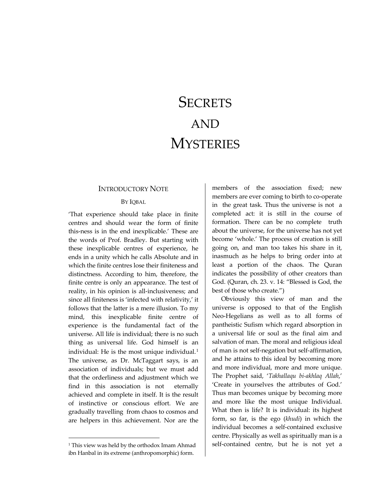# **SECRETS** AND **MYSTERIES**

#### INTRODUCTORY NOTE

#### BY IQBAL

'That experience should take place in finite centres and should wear the form of finite this-ness is in the end inexplicable.' These are the words of Prof. Bradley. But starting with these inexplicable centres of experience, he ends in a unity which he calls Absolute and in which the finite centres lose their finiteness and distinctness. According to him, therefore, the finite centre is only an appearance. The test of reality, in his opinion is all-inclusiveness; and since all finiteness is 'infected with relativity,' it follows that the latter is a mere illusion. To my mind, this inexplicable finite centre of experience is the fundamental fact of the universe. All life is individual; there is no such thing as universal life. God himself is an individual: He is the most unique individual.<sup>[1](#page-0-0)</sup> The universe, as Dr. McTaggart says, is an association of individuals; but we must add that the orderliness and adjustment which we find in this association is not eternally achieved and complete in itself. It is the result of instinctive or conscious effort. We are gradually travelling from chaos to cosmos and are helpers in this achievement. Nor are the

 $\overline{a}$ 

members of the association fixed; new members are ever coming to birth to co-operate in the great task. Thus the universe is not a completed act: it is still in the course of formation. There can be no complete truth about the universe, for the universe has not yet become 'whole.' The process of creation is still going on, and man too takes his share in it, inasmuch as he helps to bring order into at least a portion of the chaos. The Quran indicates the possibility of other creators than God. (Quran, ch. 23. v. 14: "Blessed is God, the best of those who create.")

Obviously this view of man and the universe is opposed to that of the English Neo-Hegelians as well as to all forms of pantheistic Sufism which regard absorption in a universal life or soul as the final aim and salvation of man. The moral and religious ideal of man is not self-negation but self-affirmation, and he attains to this ideal by becoming more and more individual, more and more unique. The Prophet said, '*Takhallaqu bi-akhlaq Allah*,' 'Create in yourselves the attributes of God.' Thus man becomes unique by becoming more and more like the most unique Individual. What then is life? It is individual: its highest form, so far, is the ego (*khudi*) in which the individual becomes a self-contained exclusive centre. Physically as well as spiritually man is a self-contained centre, but he is not yet a

<span id="page-0-0"></span><sup>&</sup>lt;sup>1</sup> This view was held by the orthodox Imam Ahmad ibn Hanbal in its extreme (anthropomorphic) form.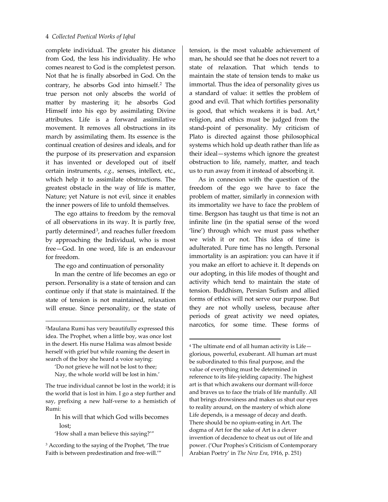complete individual. The greater his distance from God, the less his individuality. He who comes nearest to God is the completest person. Not that he is finally absorbed in God. On the contrary, he absorbs God into himself.[2](#page-1-0) The true person not only absorbs the world of matter by mastering it; he absorbs God Himself into his ego by assimilating Divine attributes. Life is a forward assimilative movement. It removes all obstructions in its march by assimilating them. Its essence is the continual creation of desires and ideals, and for the purpose of its preservation and expansion it has invented or developed out of itself certain instruments, *e.g.,* senses, intellect, etc., which help it to assimilate obstructions. The greatest obstacle in the way of life is matter, Nature; yet Nature is not evil, since it enables the inner powers of life to unfold themselves.

The ego attains to freedom by the removal of all observations in its way. It is partly free, partly determined [3](#page-1-1) , and reaches fuller freedom by approaching the Individual, who is most free—God. In one word, life is an endeavour for freedom.

The ego and continuation of personality

In man the centre of life becomes an ego or person. Personality is a state of tension and can continue only if that state is maintained. If the state of tension is not maintained, relaxation will ensue. Since personality, or the state of

'Do not grieve he will not be lost to thee;

Nay, the whole world will be lost in him.'

The true individual cannot be lost in the world; it is the world that is lost in him. I go a step further and say, prefixing a new half-verse to a hemistich of Rumi:

In his will that which God wills becomes

lost;

 $\overline{\phantom{a}}$ 

'How shall a man believe this saying?'"

tension, is the most valuable achievement of man, he should see that he does not revert to a state of relaxation. That which tends to maintain the state of tension tends to make us immortal. Thus the idea of personality gives us a standard of value: it settles the problem of good and evil. That which fortifies personality is good, that which weakens it is bad. Art, $4$ religion, and ethics must be judged from the stand-point of personality. My criticism of Plato is directed against those philosophical systems which hold up death rather than life as their ideal—systems which ignore the greatest obstruction to life, namely, matter, and teach us to run away from it instead of absorbing it.

As in connexion with the question of the freedom of the ego we have to face the problem of matter, similarly in connexion with its immortality we have to face the problem of time. Bergson has taught us that time is not an infinite line (in the spatial sense of the word 'line') through which we must pass whether we wish it or not. This idea of time is adulterated. Pure time has no length. Personal immortality is an aspiration: you can have it if you make an effort to achieve it. It depends on our adopting, in this life modes of thought and activity which tend to maintain the state of tension. Buddhism, Persian Sufism and allied forms of ethics will not serve our purpose. But they are not wholly useless, because after periods of great activity we need opiates, narcotics, for some time. These forms of

<span id="page-1-2"></span><span id="page-1-0"></span><sup>2</sup>Maulana Rumi has very beautifully expressed this idea. The Prophet, when a little boy, was once lost in the desert. His nurse Halima was almost beside herself with grief but while roaming the desert in search of the boy she heard a voice saying:

<span id="page-1-1"></span><sup>3</sup> According to the saying of the Prophet, 'The true Faith is between predestination and free-will.'"

 <sup>4</sup> The ultimate end of all human activity is Life glorious, powerful, exuberant. All human art must be subordinated to this final purpose, and the value of everything must be determined in reference to its life-yielding capacity. The highest art is that which awakens our dormant will-force and braves us to face the trials of life manfully. All that brings drowsiness and makes us shut our eyes to reality around, on the mastery of which alone Life depends, is a message of decay and death. There should be no opium-eating in Art. The dogma of Art for the sake of Art is a clever invention of decadence to cheat us out of life and power. ('Our Prophes's Criticism of Contemporary Arabian Poetry' in *The New Era*, 1916, p. 251)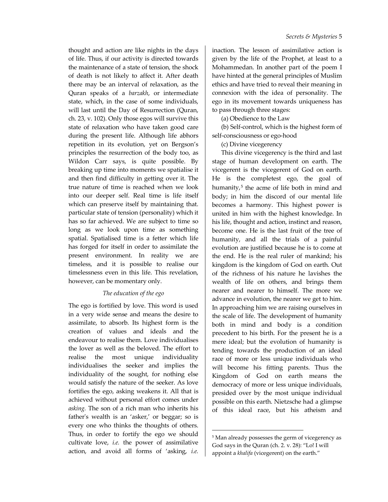thought and action are like nights in the days of life. Thus, if our activity is directed towards the maintenance of a state of tension, the shock of death is not likely to affect it. After death there may be an interval of relaxation, as the Quran speaks of a *barzakh*, or intermediate state, which, in the case of some individuals, will last until the Day of Resurrection (Quran, ch. 23, v. 102). Only those egos will survive this state of relaxation who have taken good care during the present life. Although life abhors repetition in its evolution, yet on Bergson's principles the resurrection of the body too, as Wildon Carr says, is quite possible. By breaking up time into moments we spatialise it and then find difficulty in getting over it. The true nature of time is reached when we look into our deeper self. Real time is life itself which can preserve itself by maintaining that. particular state of tension (personality) which it has so far achieved. We are subject to time so long as we look upon time as something spatial. Spatialised time is a fetter which life has forged for itself in order to assimilate the present environment. In reality we are timeless, and it is possible to realise our timelessness even in this life. This revelation, however, can be momentary only.

#### *The education of the ego*

<span id="page-2-0"></span>The ego is fortified by love. This word is used in a very wide sense and means the desire to assimilate, to absorb. Its highest form is the creation of values and ideals and the endeavour to realise them. Love individualises the lover as well as the beloved. The effort to realise the most unique individuality individualises the seeker and implies the individuality of the sought, for nothing else would satisfy the nature of the seeker. As love fortifies the ego, asking weakens it. All that is achieved without personal effort comes under *asking.* The son of a rich man who inherits his father's wealth is an 'asker,' or beggar; so is every one who thinks the thoughts of others. Thus, in order to fortify the ego we should cultivate love, *i.e.* the power of assimilative action, and avoid all forms of 'asking, *i.e.* inaction. The lesson of assimilative action is given by the life of the Prophet, at least to a Mohammedan. In another part of the poem I have hinted at the general principles of Muslim ethics and have tried to reveal their meaning in connexion with the idea of personality. The ego in its movement towards uniqueness has to pass through three stages:

(a) Obedience to the Law

(b) Self-control, which is the highest form of self-consciousness or ego-hood

(c) Divine vicegerency

This divine vicegerency is the third and last stage of human development on earth. The vicegerent is the vicegerent of God on earth. He is the completest ego, the goal of humanity,<sup>[5](#page-2-0)</sup> the acme of life both in mind and body; in him the discord of our mental life becomes a harmony. This highest power is united in him with the highest knowledge. In his life, thought and action, instinct and reason, become one. He is the last fruit of the tree of humanity, and all the trials of a painful evolution are justified because he is to come at the end. He is the real ruler of mankind; his kingdom is the kingdom of God on earth. Out of the richness of his nature he lavishes the wealth of life on others, and brings them nearer and nearer to himself. The more we advance in evolution, the nearer we get to him. In approaching him we are raising ourselves in the scale of life. The development of humanity both in mind and body is a condition precedent to his birth. For the present he is a mere ideal; but the evolution of humanity is tending towards the production of an ideal race of more or less unique individuals who will become his fitting parents. Thus the Kingdom of God on earth means the democracy of more or less unique individuals, presided over by the most unique individual possible on this earth. Nietzsche had a glimpse of this ideal race, but his atheism and

-

<sup>5</sup> Man already possesses the germ of vicegerency as God says in the Quran (ch. 2. v. 28): "Lo! I will appoint a *khalifa* (vicegerent) on the earth."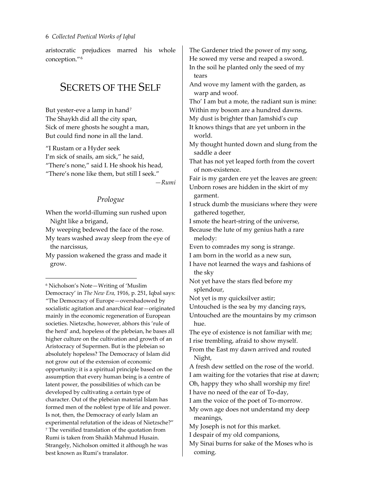aristocratic prejudices marred his whole conception."[6](#page-3-0)

### SECRETS OF THE SELF

But yester-eve a lamp in hand<sup>[7](#page-3-1)</sup> The Shaykh did all the city span, Sick of mere ghosts he sought a man, But could find none in all the land.

"I Rustam or a Hyder seek I'm sick of snails, am sick," he said, "There's none," said I. He shook his head, "There's none like them, but still I seek."

*—Rumi* 

#### *Prologue*

When the world-illuming sun rushed upon Night like a brigand,

My weeping bedewed the face of the rose.

My tears washed away sleep from the eye of the narcissus,

My passion wakened the grass and made it grow.

<span id="page-3-0"></span><sup>6</sup> Nicholson's Note—Writing of 'Muslim

 $\overline{a}$ 

The Gardener tried the power of my song, He sowed my verse and reaped a sword. In the soil he planted only the seed of my tears

And wove my lament with the garden, as warp and woof.

Tho' I am but a mote, the radiant sun is mine: Within my bosom are a hundred dawns.

My dust is brighter than Jamshid's cup

It knows things that are yet unborn in the world.

My thought hunted down and slung from the saddle a deer

That has not yet leaped forth from the covert of non-existence.

Fair is my garden ere yet the leaves are green:

Unborn roses are hidden in the skirt of my garment.

I struck dumb the musicians where they were gathered together,

I smote the heart-string of the universe,

Because the lute of my genius hath a rare melody:

Even to comrades my song is strange.

I am born in the world as a new sun,

- I have not learned the ways and fashions of the sky
- Not yet have the stars fled before my splendour,
- Not yet is my quicksilver astir;

Untouched is the sea by my dancing rays,

Untouched are the mountains by my crimson hue.

The eye of existence is not familiar with me;

I rise trembling, afraid to show myself.

From the East my dawn arrived and routed Night,

A fresh dew settled on the rose of the world.

I am waiting for the votaries that rise at dawn;

Oh, happy they who shall worship my fire!

I have no need of the ear of To-day,

I am the voice of the poet of To-morrow.

My own age does not understand my deep meanings,

My Joseph is not for this market.

I despair of my old companions,

My Sinai burns for sake of the Moses who is coming.

<span id="page-3-1"></span>Democracy' in *The New Era,* 1916, p. 251, Iqbal says: "The Democracy of Europe—overshadowed by socialistic agitation and anarchical fear—originated mainly in the economic regeneration of European societies. Nietzsche, however, abhors this 'rule of the herd' and, hopeless of the plebeian, he bases all higher culture on the cultivation and growth of an Aristocracy of Supermen. But is the plebeian so absolutely hopeless? The Democracy of Islam did not grow out of the extension of economic opportunity; it is a spiritual principle based on the assumption that every human being is a centre of latent power, the possibilities of which can be developed by cultivating a certain type of character. Out of the plebeian material Islam has formed men of the noblest type of life and power. Is not, then, the Democracy of early Islam an experimental refutation of the ideas of Nietzsche?" <sup>7</sup> The versified translation of the quotation from Rumi is taken from Shaikh Mahmud Husain. Strangely, Nicholson omitted it although he was best known as Rumi's translator.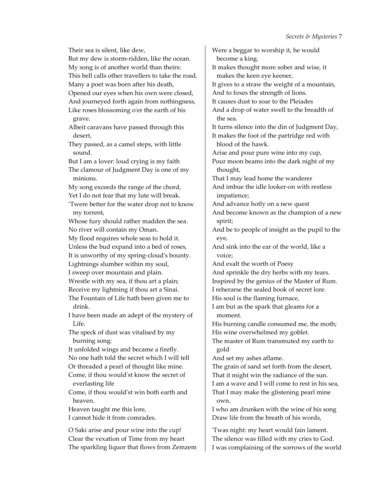Their sea is silent, like dew, But my dew is storm-ridden, like the ocean. My song is of another world than theirs: This bell calls other travellers to take the road. Many a poet was born after his death, Opened our eyes when his own were closed, And journeyed forth again from nothingness, Like roses blossoming o'er the earth of his grave. Albeit caravans have passed through this desert, They passed, as a camel steps, with little sound. But I am a lover: loud crying is my faith The clamour of Judgment Day is one of my minions. My song exceeds the range of the chord, Yet I do not fear that my lute will break. 'Twere better for the water drop not to know my torrent, Whose fury should rather madden the sea. No river will contain my Oman. My flood requires whole seas to hold it. Unless the bud expand into a bed of roses, It is unworthy of my spring-cloud's bounty. Lightnings slumber within my soul, I sweep over mountain and plain. Wrestle with my sea, if thou art a plain; Receive my lightning if thou art a Sinai. The Fountain of Life hath been given me to drink. I have been made an adept of the mystery of Life. The speck of dust was vitalised by my burning song: It unfolded wings and became a firefly. No one hath told the secret which I will tell Or threaded a pearl of thought like mine. Come, if thou would'st know the secret of everlasting life Come, if thou would'st win both earth and heaven. Heaven taught me this lore, I cannot hide it from comrades. O Saki arise and pour wine into the cup! Clear the vexation of Time from my heart The sparkling liquor that flows from Zemzem

Were a beggar to worship it, he would become a king. It makes thought more sober and wise, it makes the keen eye keener, It gives to a straw the weight of a mountain, And to foxes the strength of lions. It causes dust to soar to the Pleiades And a drop of water swell to the breadth of the sea. It turns silence into the din of Judgment Day, It makes the foot of the partridge red with blood of the hawk. Arise and pour pure wine into my cup, Pour moon beams into the dark night of my thought, That I may lead home the wanderer And imbue the idle looker-on with restless impatience; And advance hotly on a new quest And become known as the champion of a new spirit; And be to people of insight as the pupil to the eye, And sink into the ear of the world, like a voice; And exalt the worth of Poesy And sprinkle the dry herbs with my tears. Inspired by the genius of the Master of Rum. I reherarse the sealed book of secret lore. His soul is the flaming furnace, I am but as the spark that gleams for a moment. His burning candle consumed me, the moth; His wine overwhelmed my goblet. The master of Rum transmuted my earth to gold And set my ashes aflame. The grain of sand set forth from the desert, That it might win the radiance of the sun. I am a wave and I will come to rest in his sea, That I may make the glistening pearl mine own. I who am drunken with the wine of his song Draw life from the breath of his words,

'Twas night: my heart would fain lament. The silence was filled with my cries to God. I was complaining of the sorrows of the world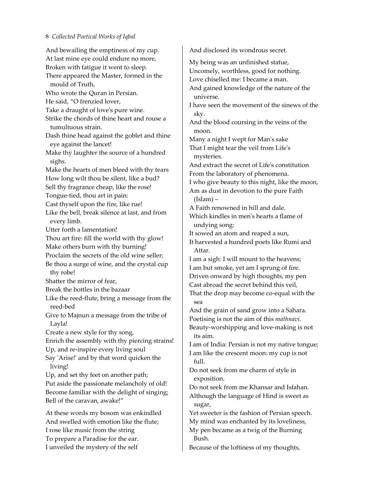And bewailing the emptiness of my cup. At last mine eye could endure no more, Broken with fatigue it went to sleep. There appeared the Master, formed in the mould of Truth, Who wrote the Quran in Persian. He said, "O frenzied lover, Take a draught of love's pure wine. Strike the chords of thine heart and rouse a tumultuous strain. Dash thine head against the goblet and thine eye against the lancet! Make thy laughter the source of a hundred sighs. Make the hearts of men bleed with thy tears How long wilt thou be silent, like a bud? Sell thy fragrance cheap, like the rose! Tongue-tied, thou art in pain: Cast thyself upon the fire, like rue! Like the bell, break silence at last, and from every limb. Utter forth a lamentation! Thou art fire: fill the world with thy glow! Make others burn with thy burning! Proclaim the secrets of the old wine seller; Be thou a surge of wine, and the crystal cup thy robe! Shatter the mirror of fear, Break the bottles in the bazaar Like the reed-flute, bring a message from the reed-bed Give to Majnun a message from the tribe of Layla! Create a new style for thy song, Enrich the assembly with thy piercing strains! Up, and re-inspire every living soul Say 'Arise!' and by that word quicken the living! Up, and set thy feet on another path; Put aside the passionate melancholy of old! Become familiar with the delight of singing; Bell of the caravan, awake!" At these words my bosom was enkindled And swelled with emotion like the flute; I rose like music from the string To prepare a Paradise for the ear. I unveiled the mystery of the self

And disclosed its wondrous secret. My being was an unfinished statue, Uncomely, worthless, good for nothing. Love chiselled me: I became a man. And gained knowledge of the nature of the universe. I have seen the movement of the sinews of the sky. And the blood coursing in the veins of the moon. Many a night I wept for Man's sake That I might tear the veil from Life's mysteries. And extract the secret of Life's constitution From the laboratory of phenomena. I who give beauty to this night, like the moon, Am as dust in devotion to the pure Faith (Islam) – A Faith renowned in hill and dale. Which kindles in men's hearts a flame of undying song: It sowed an atom and reaped a sun, It harvested a hundred poets like Rumi and Attar. I am a sigh: I will mount to the heavens; I am but smoke, yet am I sprung of fire. Driven onward by high thoughts, my pen Cast abroad the secret behind this veil, That the drop may become co-equal with the sea And the grain of sand grow into a Sahara. Poetising is not the aim of this *mathnavi.* Beauty-worshipping and love-making is not its aim. I am of India: Persian is not my native tongue; I am like the crescent moon: my cup is not full. Do not seek from me charm of style in exposition. Do not seek from me Khansar and Isfahan. Although the language of Hind is sweet as sugar, Yet sweeter is the fashion of Persian speech. My mind was enchanted by its loveliness, My pen became as a twig of the Burning Bush. Because of the loftiness of my thoughts,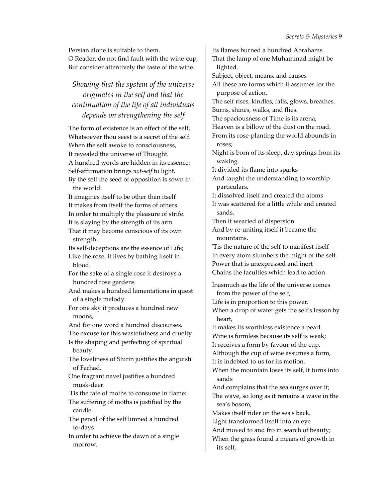Persian alone is suitable to them. O Reader, do not find fault with the wine-cup, But consider attentively the taste of the wine.

*Showing that the system of the universe originates in the self and that the continuation of the life of all individuals depends on strengthening the self*

The form of existence is an effect of the self, Whatsoever thou seest is a secret of the self. When the self awoke to consciousness, It revealed the universe of Thought. A hundred words are hidden in its essence: Self-affirmation brings *not-self* to light. By the self the seed of opposition is sown in the world:

It imagines itself to be other than itself It makes from itself the forms of others In order to multiply the pleasure of strife. It is slaying by the strength of its arm That it may become conscious of its own strength.

Its self-deceptions are the essence of Life;

Like the rose, it lives by bathing itself in blood.

For the sake of a single rose it destroys a hundred rose gardens

And makes a hundred lamentations in quest of a single melody.

For one sky it produces a hundred new moons

And for one word a hundred discourses.

The excuse for this wastefulness and cruelty Is the shaping and perfecting of spiritual beauty.

The loveliness of Shirin justifies the anguish of Farhad.

One fragrant navel justifies a hundred musk-deer.

'Tis the fate of moths to consume in flame: The suffering of moths is justified by the candle.

The pencil of the self limned a hundred to-days

In order to achieve the dawn of a single morrow.

Its flames burned a hundred Abrahams That the lamp of one Muhammad might be lighted. Subject, object, means, and causes— All these are forms which it assumes for the purpose of action. The self rises, kindles, falls, glows, breathes, Burns, shines, walks, and flies. The spaciousness of Time is its arena, Heaven is a billow of the dust on the road. From its rose-planting the world abounds in roses; Night is born of its sleep, day springs from its waking. It divided its flame into sparks And taught the understanding to worship particulars. It dissolved itself and created the atoms It was scattered for a little while and created sands. Then it wearied of dispersion And by re-uniting itself it became the mountains. 'Tis the nature of the self to manifest itself In every atom slumbers the might of the self. Power that is unexpressed and inert Chains the faculties which lead to action. Inasmuch as the life of the universe comes from the power of the self, Life is in proportion to this power. When a drop of water gets the self's lesson by heart, It makes its worthless existence a pearl. Wine is formless because its self is weak; It receives a form by favour of the cup. Although the cup of wine assumes a form, It is indebted to us for its motion. When the mountain loses its self, it turns into sands And complains that the sea surges over it; The wave, so long as it remains a wave in the sea's bosom, Makes itself rider on the sea's back. Light transformed itself into an eye And moved to and fro in search of beauty; When the grass found a means of growth in its self,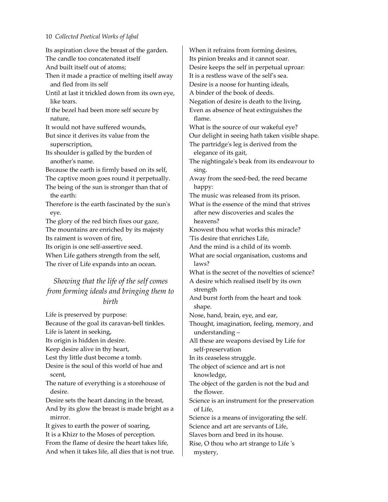Its aspiration clove the breast of the garden. The candle too concatenated itself And built itself out of atoms; Then it made a practice of melting itself away and fled from its self Until at last it trickled down from its own eye, like tears. If the bezel had been more self secure by nature, It would not have suffered wounds, But since it derives its value from the superscription, Its shoulder is galled by the burden of another's name. Because the earth is firmly based on its self, The captive moon goes round it perpetually. The being of the sun is stronger than that of the earth: Therefore is the earth fascinated by the sun's eye. The glory of the red birch fixes our gaze, The mountains are enriched by its majesty Its raiment is woven of fire, Its origin is one self-assertive seed. When Life gathers strength from the self, The river of Life expands into an ocean.

### *Showing that the life of the self comes from forming ideals and bringing them to birth*

Life is preserved by purpose:

Because of the goal its caravan-bell tinkles.

Life is latent in seeking,

Its origin is hidden in desire.

Keep desire alive in thy heart,

Lest thy little dust become a tomb.

Desire is the soul of this world of hue and scent,

The nature of everything is a storehouse of desire.

Desire sets the heart dancing in the breast,

And by its glow the breast is made bright as a mirror.

It gives to earth the power of soaring,

It is a Khizr to the Moses of perception.

From the flame of desire the heart takes life, And when it takes life, all dies that is not true.

When it refrains from forming desires, Its pinion breaks and it cannot soar. Desire keeps the self in perpetual uproar: It is a restless wave of the self's sea. Desire is a noose for hunting ideals, A binder of the book of deeds. Negation of desire is death to the living, Even as absence of heat extinguishes the flame. What is the source of our wakeful eye? Our delight in seeing hath taken visible shape. The partridge's leg is derived from the elegance of its gait, The nightingale's beak from its endeavour to sing. Away from the seed-bed, the reed became happy: The music was released from its prison. What is the essence of the mind that strives after new discoveries and scales the heavens? Knowest thou what works this miracle? 'Tis desire that enriches Life, And the mind is a child of its womb. What are social organisation, customs and laws? What is the secret of the novelties of science? A desire which realised itself by its own strength And burst forth from the heart and took shape. Nose, hand, brain, eye, and ear, Thought, imagination, feeling, memory, and understanding – All these are weapons devised by Life for self-preservation In its ceaseless struggle. The object of science and art is not knowledge, The object of the garden is not the bud and the flower. Science is an instrument for the preservation of Life, Science is a means of invigorating the self. Science and art are servants of Life, Slaves born and bred in its house. Rise, O thou who art strange to Life 's mystery,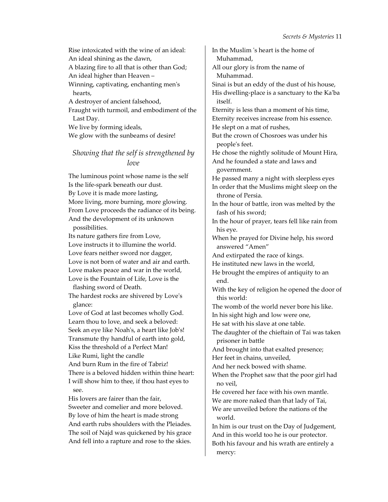Rise intoxicated with the wine of an ideal: An ideal shining as the dawn, A blazing fire to all that is other than God; An ideal higher than Heaven – Winning, captivating, enchanting men's hearts, A destroyer of ancient falsehood, Fraught with turmoil, and embodiment of the Last Day. We live by forming ideals,

We glow with the sunbeams of desire!

### *Showing that the self is strengthened by love*

The luminous point whose name is the self Is the life-spark beneath our dust. By Love it is made more lasting, More living, more burning, more glowing. From Love proceeds the radiance of its being. And the development of its unknown possibilities.

Its nature gathers fire from Love, Love instructs it to illumine the world. Love fears neither sword nor dagger, Love is not born of water and air and earth. Love makes peace and war in the world, Love is the Fountain of Life, Love is the flashing sword of Death.

The hardest rocks are shivered by Love's glance:

Love of God at last becomes wholly God. Learn thou to love, and seek a beloved: Seek an eye like Noah's, a heart like Job's! Transmute thy handful of earth into gold, Kiss the threshold of a Perfect Man! Like Rumi, light the candle And burn Rum in the fire of Tabriz!

There is a beloved hidden within thine heart: I will show him to thee, if thou hast eyes to see.

His lovers are fairer than the fair, Sweeter and comelier and more beloved. By love of him the heart is made strong And earth rubs shoulders with the Pleiades. The soil of Najd was quickened by his grace And fell into a rapture and rose to the skies.

In the Muslim 's heart is the home of Muhammad, All our glory is from the name of Muhammad. Sinai is but an eddy of the dust of his house, His dwelling-place is a sanctuary to the Ka'ba itself. Eternity is less than a moment of his time, Eternity receives increase from his essence. He slept on a mat of rushes, But the crown of Chosroes was under his people's feet. He chose the nightly solitude of Mount Hira, And he founded a state and laws and government. He passed many a night with sleepless eyes In order that the Muslims might sleep on the throne of Persia. In the hour of battle, iron was melted by the fash of his sword; In the hour of prayer, tears fell like rain from his eye. When he prayed for Divine help, his sword answered "Amen" And extirpated the race of kings. He instituted new laws in the world, He brought the empires of antiquity to an end. With the key of religion he opened the door of this world: The womb of the world never bore his like. In his sight high and low were one, He sat with his slave at one table. The daughter of the chieftain of Tai was taken prisoner in battle And brought into that exalted presence; Her feet in chains, unveiled, And her neck bowed with shame. When the Prophet saw that the poor girl had no veil, He covered her face with his own mantle. We are more naked than that lady of Tai, We are unveiled before the nations of the world. In him is our trust on the Day of Judgement, And in this world too he is our protector. Both his favour and his wrath are entirely a

mercy: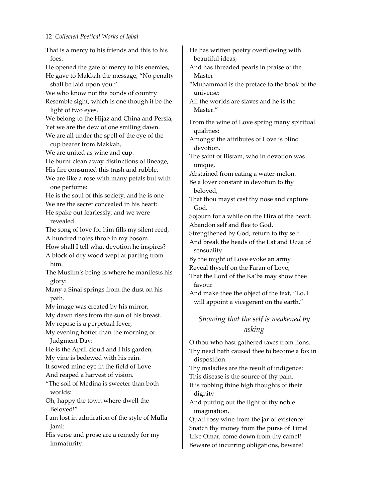That is a mercy to his friends and this to his foes. He opened the gate of mercy to his enemies, He gave to Makkah the message, "No penalty shall be laid upon you." We who know not the bonds of country Resemble sight, which is one though it be the light of two eyes. We belong to the Hijaz and China and Persia, Yet we are the dew of one smiling dawn. We are all under the spell of the eye of the cup bearer from Makkah, We are united as wine and cup. He burnt clean away distinctions of lineage, His fire consumed this trash and rubble. We are like a rose with many petals but with one perfume: He is the soul of this society, and he is one We are the secret concealed in his heart: He spake out fearlessly, and we were revealed. The song of love for him fills my silent reed, A hundred notes throb in my bosom. How shall I tell what devotion he inspires? A block of dry wood wept at parting from him. The Muslim's being is where he manifests his glory: Many a Sinai springs from the dust on his path. My image was created by his mirror, My dawn rises from the sun of his breast. My repose is a perpetual fever, My evening hotter than the morning of Judgment Day: He is the April cloud and I his garden, My vine is bedewed with his rain. It sowed mine eye in the field of Love And reaped a harvest of vision. "The soil of Medina is sweeter than both worlds: Oh, happy the town where dwell the Beloved!" I am lost in admiration of the style of Mulla Jami: His verse and prose are a remedy for my immaturity.

He has written poetry overflowing with beautiful ideas; And has threaded pearls in praise of the Master- "Muhammad is the preface to the book of the universe: All the worlds are slaves and he is the Master." From the wine of Love spring many spiritual qualities: Amongst the attributes of Love is blind devotion. The saint of Bistam, who in devotion was unique, Abstained from eating a water-melon. Be a lover constant in devotion to thy beloved, That thou mayst cast thy nose and capture God. Sojourn for a while on the Hira of the heart. Abandon self and flee to God. Strengthened by God, return to thy self And break the heads of the Lat and Uzza of sensuality. By the might of Love evoke an army Reveal thyself on the Faran of Love, That the Lord of the Ka'ba may show thee favour And make thee the object of the text, "Lo, I will appoint a vicegerent on the earth." *Showing that the self is weakened by asking* O thou who hast gathered taxes from lions, Thy need hath caused thee to become a fox in disposition. Thy maladies are the result of indigence: This disease is the source of thy pain. It is robbing thine high thoughts of their dignity

And putting out the light of thy noble imagination.

Quaff rosy wine from the jar of existence! Snatch thy money from the purse of Time! Like Omar, come down from thy camel! Beware of incurring obligations, beware!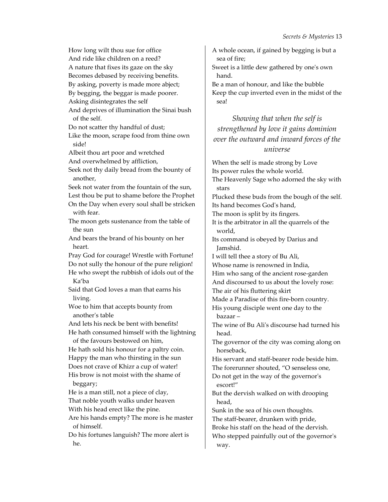How long wilt thou sue for office

And ride like children on a reed?

A nature that fixes its gaze on the sky

Becomes debased by receiving benefits.

By asking, poverty is made more abject;

By begging, the beggar is made poorer.

Asking disintegrates the self

And deprives of illumination the Sinai bush of the self.

Do not scatter thy handful of dust;

Like the moon, scrape food from thine own side!

Albeit thou art poor and wretched

And overwhelmed by affliction,

Seek not thy daily bread from the bounty of another,

Seek not water from the fountain of the sun, Lest thou be put to shame before the Prophet On the Day when every soul shall be stricken with fear.

The moon gets sustenance from the table of the sun

And bears the brand of his bounty on her heart.

Pray God for courage! Wrestle with Fortune! Do not sully the honour of the pure religion!

He who swept the rubbish of idols out of the Ka'ba

Said that God loves a man that earns his living.

Woe to him that accepts bounty from another's table

And lets his neck be bent with benefits!

He hath consumed himself with the lightning of the favours bestowed on him,

He hath sold his honour for a paltry coin. Happy the man who thirsting in the sun

Does not crave of Khizr a cup of water!

His brow is not moist with the shame of beggary;

He is a man still, not a piece of clay, That noble youth walks under heaven

With his head erect like the pine.

Are his hands empty? The more is he master of himself.

Do his fortunes languish? The more alert is he.

A whole ocean, if gained by begging is but a sea of fire;

Sweet is a little dew gathered by one's own hand.

Be a man of honour, and like the bubble Keep the cup inverted even in the midst of the sea!

### *Showing that when the self is strengthened by love it gains dominion over the outward and inward forces of the universe*

When the self is made strong by Love Its power rules the whole world. The Heavenly Sage who adorned the sky with stars Plucked these buds from the bough of the self. Its hand becomes God's hand, The moon is split by its fingers. It is the arbitrator in all the quarrels of the world, Its command is obeyed by Darius and Jamshid. I will tell thee a story of Bu Ali, Whose name is renowned in India, Him who sang of the ancient rose-garden And discoursed to us about the lovely rose: The air of his fluttering skirt Made a Paradise of this fire-born country. His young disciple went one day to the bazaar – The wine of Bu Ali's discourse had turned his head. The governor of the city was coming along on horseback, His servant and staff-bearer rode beside him. The forerunner shouted, "O senseless one, Do not get in the way of the governor's escort!" But the dervish walked on with drooping head, Sunk in the sea of his own thoughts. The staff-bearer, drunken with pride, Broke his staff on the head of the dervish. Who stepped painfully out of the governor's way.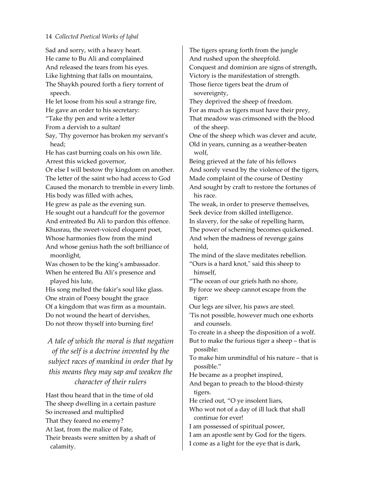Sad and sorry, with a heavy heart. He came to Bu Ali and complained And released the tears from his eyes. Like lightning that falls on mountains, The Shaykh poured forth a fiery torrent of speech. He let loose from his soul a strange fire, He gave an order to his secretary: "Take thy pen and write a letter From a dervish to a sultan! Say, 'Thy governor has broken my servant's head; He has cast burning coals on his own life. Arrest this wicked governor, Or else I will bestow thy kingdom on another. The letter of the saint who had access to God Caused the monarch to tremble in every limb. His body was filled with aches, He grew as pale as the evening sun. He sought out a handcuff for the governor And entreated Bu Ali to pardon this offence. Khusrau, the sweet-voiced eloquent poet, Whose harmonies flow from the mind And whose genius hath the soft brilliance of moonlight, Was chosen to be the king's ambassador. When he entered Bu Ali's presence and played his lute, His song melted the fakir's soul like glass. One strain of Poesy bought the grace Of a kingdom that was firm as a mountain. Do not wound the heart of dervishes, Do not throw thyself into burning fire!

*A tale of which the moral is that negation of the self is a doctrine invented by the subject races of mankind in order that by this means they may sap and weaken the character of their rulers*

Hast thou heard that in the time of old The sheep dwelling in a certain pasture So increased and multiplied That they feared no enemy? At last, from the malice of Fate, Their breasts were smitten by a shaft of calamity.

The tigers sprang forth from the jungle And rushed upon the sheepfold. Conquest and dominion are signs of strength, Victory is the manifestation of strength. Those fierce tigers beat the drum of sovereignty, They deprived the sheep of freedom. For as much as tigers must have their prey, That meadow was crimsoned with the blood of the sheep. One of the sheep which was clever and acute, Old in years, cunning as a weather-beaten wolf, Being grieved at the fate of his fellows And sorely vexed by the violence of the tigers, Made complaint of the course of Destiny And sought by craft to restore the fortunes of his race. The weak, in order to preserve themselves, Seek device from skilled intelligence. In slavery, for the sake of repelling harm, The power of scheming becomes quickened. And when the madness of revenge gains hold, The mind of the slave meditates rebellion. "Ours is a hard knot,'' said this sheep to himself, "The ocean of our griefs hath no shore, By force we sheep cannot escape from the tiger: Our legs are silver, his paws are steel. 'Tis not possible, however much one exhorts and counsels. To create in a sheep the disposition of a wolf. But to make the furious tiger a sheep – that is possible: To make him unmindful of his nature – that is possible." He became as a prophet inspired, And began to preach to the blood-thirsty tigers. He cried out, "O ye insolent liars, Who wot not of a day of ill luck that shall continue for ever! I am possessed of spiritual power, I am an apostle sent by God for the tigers. I come as a light for the eye that is dark,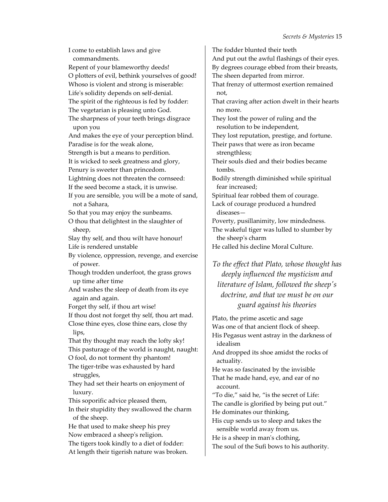*Secrets & Mysteries* 15

I come to establish laws and give commandments. Repent of your blameworthy deeds! O plotters of evil, bethink yourselves of good! Whoso is violent and strong is miserable: Life's solidity depends on self-denial. The spirit of the righteous is fed by fodder: The vegetarian is pleasing unto God. The sharpness of your teeth brings disgrace upon you And makes the eye of your perception blind. Paradise is for the weak alone, Strength is but a means to perdition. It is wicked to seek greatness and glory, Penury is sweeter than princedom. Lightning does not threaten the cornseed: If the seed become a stack, it is unwise. If you are sensible, you will be a mote of sand, not a Sahara, So that you may enjoy the sunbeams. O thou that delightest in the slaughter of sheep, Slay thy self, and thou wilt have honour! Life is rendered unstable By violence, oppression, revenge, and exercise of power. Though trodden underfoot, the grass grows up time after time And washes the sleep of death from its eye again and again. Forget thy self, if thou art wise! If thou dost not forget thy self, thou art mad. Close thine eyes, close thine ears, close thy lips, That thy thought may reach the lofty sky! This pasturage of the world is naught, naught: O fool, do not torment thy phantom! The tiger-tribe was exhausted by hard struggles, They had set their hearts on enjoyment of luxury. This soporific advice pleased them, In their stupidity they swallowed the charm of the sheep. He that used to make sheep his prey Now embraced a sheep's religion. The tigers took kindly to a diet of fodder: At length their tigerish nature was broken. The fodder blunted their teeth not, no more. strengthless; tombs. diseases idealism actuality. account.

And put out the awful flashings of their eyes. By degrees courage ebbed from their breasts, The sheen departed from mirror. That frenzy of uttermost exertion remained That craving after action dwelt in their hearts They lost the power of ruling and the resolution to be independent, They lost reputation, prestige, and fortune. Their paws that were as iron became Their souls died and their bodies became Bodily strength diminished while spiritual fear increased; Spiritual fear robbed them of courage. Lack of courage produced a hundred Poverty, pusillanimity, low mindedness. The wakeful tiger was lulled to slumber by the sheep's charm

He called his decline Moral Culture.

*To the effect that Plato, whose thought has deeply influenced the mysticism and literature of Islam, followed the sheep's doctrine, and that we must be on our guard against his theories*

Plato, the prime ascetic and sage Was one of that ancient flock of sheep. His Pegasus went astray in the darkness of And dropped its shoe amidst the rocks of He was so fascinated by the invisible That he made hand, eye, and ear of no "To die," said he, "is the secret of Life: The candle is glorified by being put out." He dominates our thinking, His cup sends us to sleep and takes the sensible world away from us. He is a sheep in man's clothing, The soul of the Sufi bows to his authority.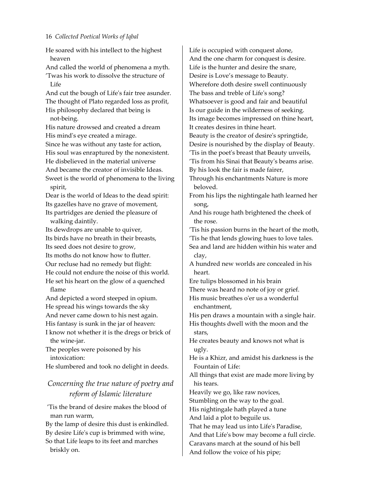He soared with his intellect to the highest heaven

And called the world of phenomena a myth. 'Twas his work to dissolve the structure of Life

And cut the bough of Life's fair tree asunder. The thought of Plato regarded loss as profit, His philosophy declared that being is not-being.

His nature drowsed and created a dream His mind's eye created a mirage.

Since he was without any taste for action,

His soul was enraptured by the nonexistent. He disbelieved in the material universe

And became the creator of invisible Ideas.

Sweet is the world of phenomena to the living spirit,

Dear is the world of Ideas to the dead spirit: Its gazelles have no grave of movement, Its partridges are denied the pleasure of

walking daintily.

Its dewdrops are unable to quiver,

Its birds have no breath in their breasts, Its seed does not desire to grow,

Its moths do not know how to flutter.

Our recluse had no remedy but flight:

He could not endure the noise of this world.

He set his heart on the glow of a quenched

flame

And depicted a word steeped in opium. He spread his wings towards the sky And never came down to his nest again. His fantasy is sunk in the jar of heaven:

I know not whether it is the dregs or brick of the wine-jar.

The peoples were poisoned by his intoxication:

He slumbered and took no delight in deeds.

### *Concerning the true nature of poetry and reform of Islamic literature*

'Tis the brand of desire makes the blood of man run warm,

By the lamp of desire this dust is enkindled. By desire Life's cup is brimmed with wine, So that Life leaps to its feet and marches briskly on.

Life is occupied with conquest alone, And the one charm for conquest is desire. Life is the hunter and desire the snare, Desire is Love's message to Beauty. Wherefore doth desire swell continuously The bass and treble of Life's song? Whatsoever is good and fair and beautiful Is our guide in the wilderness of seeking. Its image becomes impressed on thine heart, It creates desires in thine heart. Beauty is the creator of desire's springtide, Desire is nourished by the display of Beauty. 'Tis in the poet's breast that Beauty unveils, 'Tis from his Sinai that Beauty's beams arise. By his look the fair is made fairer, Through his enchantments Nature is more beloved. From his lips the nightingale hath learned her song, And his rouge hath brightened the cheek of the rose. 'Tis his passion burns in the heart of the moth, 'Tis he that lends glowing hues to love tales. Sea and land are hidden within his water and clay, A hundred new worlds are concealed in his heart. Ere tulips blossomed in his brain There was heard no note of joy or grief. His music breathes o'er us a wonderful enchantment, His pen draws a mountain with a single hair. His thoughts dwell with the moon and the stars, He creates beauty and knows not what is ugly. He is a Khizr, and amidst his darkness is the Fountain of Life: All things that exist are made more living by his tears. Heavily we go, like raw novices, Stumbling on the way to the goal. His nightingale hath played a tune And laid a plot to beguile us. That he may lead us into Life's Paradise, And that Life's bow may become a full circle. Caravans march at the sound of his bell And follow the voice of his pipe;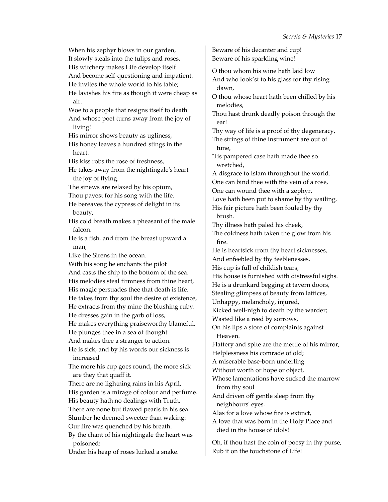When his zephyr blows in our garden, It slowly steals into the tulips and roses. His witchery makes Life develop itself And become self-questioning and impatient. He invites the whole world to his table; He lavishes his fire as though it were cheap as air. Woe to a people that resigns itself to death And whose poet turns away from the joy of living! His mirror shows beauty as ugliness, His honey leaves a hundred stings in the heart. His kiss robs the rose of freshness, He takes away from the nightingale's heart the joy of flying. The sinews are relaxed by his opium, Thou payest for his song with the life. He bereaves the cypress of delight in its beauty, His cold breath makes a pheasant of the male falcon. He is a fish. and from the breast upward a man, Like the Sirens in the ocean. With his song he enchants the pilot And casts the ship to the bottom of the sea. His melodies steal firmness from thine heart, His magic persuades thee that death is life. He takes from thy soul the desire of existence, He extracts from thy mine the blushing ruby. He dresses gain in the garb of loss, He makes everything praiseworthy blameful, He plunges thee in a sea of thought And makes thee a stranger to action. He is sick, and by his words our sickness is increased The more his cup goes round, the more sick are they that quaff it. There are no lightning rains in his April, His garden is a mirage of colour and perfume. His beauty hath no dealings with Truth, There are none but flawed pearls in his sea. Slumber he deemed sweeter than waking: Our fire was quenched by his breath. By the chant of his nightingale the heart was poisoned: Under his heap of roses lurked a snake.

Beware of his decanter and cup! Beware of his sparkling wine! O thou whom his wine hath laid low And who look'st to his glass for thy rising dawn, O thou whose heart hath been chilled by his melodies, Thou hast drunk deadly poison through the ear! Thy way of life is a proof of thy degeneracy, The strings of thine instrument are out of tune, 'Tis pampered case hath made thee so wretched, A disgrace to Islam throughout the world. One can bind thee with the vein of a rose, One can wound thee with a zephyr. Love hath been put to shame by thy wailing, His fair picture hath been fouled by thy brush. Thy illness hath paled his cheek, The coldness hath taken the glow from his fire. He is heartsick from thy heart sicknesses, And enfeebled by thy feeblenesses. His cup is full of childish tears, His house is furnished with distressful sighs. He is a drunkard begging at tavern doors, Stealing glimpses of beauty from lattices, Unhappy, melancholy, injured, Kicked well-nigh to death by the warder; Wasted like a reed by sorrows, On his lips a store of complaints against Heaven. Flattery and spite are the mettle of his mirror, Helplessness his comrade of old; A miserable base-born underling Without worth or hope or object, Whose lamentations have sucked the marrow from thy soul And driven off gentle sleep from thy neighbours' eyes. Alas for a love whose fire is extinct, A love that was born in the Holy Place and died in the house of idols!

Oh, if thou hast the coin of poesy in thy purse, Rub it on the touchstone of Life!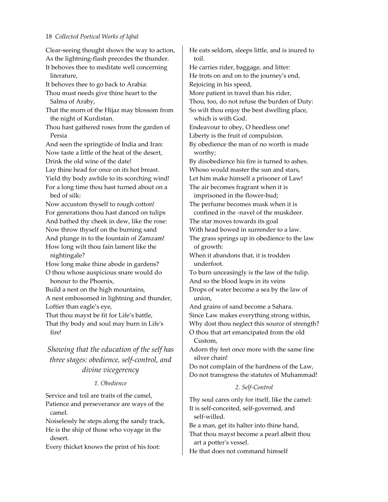Clear-seeing thought shows the way to action, As the lightning-flash precedes the thunder. It behoves thee to meditate well concerning literature, It behoves thee to go back to Arabia: Thou must needs give thine heart to the Salma of Araby, That the morn of the Hijaz may blossom from the night of Kurdistan. Thou hast gathered roses from the garden of Persia And seen the springtide of India and Iran: Now taste a little of the heat of the desert, Drink the old wine of the date! Lay thine head for once on its hot breast. Yield thy body awhile to its scorching wind! For a long time thou hast turned about on a bed of silk: Now accustom thyself to rough cotton! For generations thou hast danced on tulips And bathed thy cheek in dew, like the rose: Now throw thyself on the burning sand And plunge in to the fountain of Zamzam! How long wilt thou fain lament like the nightingale? How long make thine abode in gardens? O thou whose auspicious snare would do honour to the Phoenix, Build a nest on the high mountains, A nest embosomed in lightning and thunder, Loftier than eagle's eye, That thou mayst be fit for Life's battle, That thy body and soul may burn in Life's fire!

### *Showing that the education of the self has three stages: obedience, self-control, and divine vicegerency*

#### *1. Obedience*

Service and toil are traits of the camel, Patience and perseverance are ways of the camel.

Noiselessly he steps along the sandy track,

He is the ship of those who voyage in the desert.

Every thicket knows the print of his foot:

He eats seldom, sleeps little, and is inured to toil. He carries rider, baggage, and litter: He trots on and on to the journey's end, Rejoicing in his speed, More patient in travel than his rider, Thou, too, do not refuse the burden of Duty: So wilt thou enjoy the best dwelling place, which is with God. Endeavour to obey, O heedless one! Liberty is the fruit of compulsion. By obedience the man of no worth is made worthy; By disobedience his fire is turned to ashes. Whoso would master the sun and stars, Let him make himself a prisoner of Law! The air becomes fragrant when it is imprisoned in the flower-bud; The perfume becomes musk when it is confined in the -navel of the muskdeer. The star moves towards its goal With head bowed in surrender to a law. The grass springs up in obedience to the law of growth: When it abandons that, it is trodden underfoot. To burn unceasingly is the law of the tulip. And so the blood leaps in its veins Drops of water become a sea by the law of union, And grains of sand become a Sahara. Since Law makes everything strong within, Why dost thou neglect this source of strength? O thou that art emancipated from the old Custom, Adorn thy feet once more with the same fine silver chain! Do not complain of the hardness of the Law, Do not transgress the statutes of Muhammad! *2. Self-Control* Thy soul cares only for itself, like the camel: It is self-conceited, self-governed, and

self-willed.

Be a man, get its halter into thine hand, That thou mayst become a pearl albeit thou art a potter's vessel.

He that does not command himself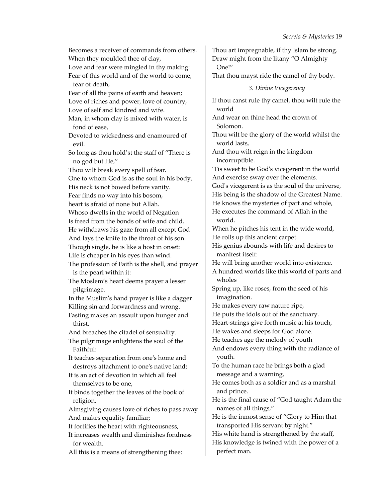Becomes a receiver of commands from others. When they moulded thee of clay, Love and fear were mingled in thy making: Fear of this world and of the world to come, fear of death, Fear of all the pains of earth and heaven; Love of riches and power, love of country, Love of self and kindred and wife. Man, in whom clay is mixed with water, is fond of ease, Devoted to wickedness and enamoured of evil. So long as thou hold'st the staff of "There is no god but He," Thou wilt break every spell of fear. One to whom God is as the soul in his body, His neck is not bowed before vanity. Fear finds no way into his bosom, heart is afraid of none but Allah. Whoso dwells in the world of Negation Is freed from the bonds of wife and child. He withdraws his gaze from all except God And lays the knife to the throat of his son. Though single, he is like a host in onset: Life is cheaper in his eyes than wind. The profession of Faith is the shell, and prayer is the pearl within it: The Moslem's heart deems prayer a lesser pilgrimage. In the Muslim's hand prayer is like a dagger Killing sin and forwardness and wrong. Fasting makes an assault upon hunger and thirst. And breaches the citadel of sensuality. The pilgrimage enlightens the soul of the Faithful: It teaches separation from one's home and destroys attachment to one's native land; It is an act of devotion in which all feel themselves to be one, It binds together the leaves of the book of religion. Almsgiving causes love of riches to pass away And makes equality familiar; It fortifies the heart with righteousness, It increases wealth and diminishes fondness for wealth. All this is a means of strengthening thee: One!" world Solomon. world lasts, incorruptible. world. manifest itself: wholes imagination. youth. and prince. perfect man.

Thou art impregnable, if thy Islam be strong. Draw might from the litany "O Almighty That thou mayst ride the camel of thy body. *3. Divine Vicegerency* If thou canst rule thy camel, thou wilt rule the And wear on thine head the crown of Thou wilt be the glory of the world whilst the And thou wilt reign in the kingdom 'Tis sweet to be God's vicegerent in the world And exercise sway over the elements. God's vicegerent is as the soul of the universe, His being is the shadow of the Greatest Name. He knows the mysteries of part and whole, He executes the command of Allah in the When he pitches his tent in the wide world, He rolls up this ancient carpet. His genius abounds with life and desires to He will bring another world into existence. A hundred worlds like this world of parts and Spring up, like roses, from the seed of his He makes every raw nature ripe, He puts the idols out of the sanctuary. Heart-strings give forth music at his touch, He wakes and sleeps for God alone. He teaches age the melody of youth And endows every thing with the radiance of To the human race he brings both a glad message and a warning, He comes both as a soldier and as a marshal He is the final cause of "God taught Adam the names of all things," He is the inmost sense of "Glory to Him that transported His servant by night." His white hand is strengthened by the staff, His knowledge is twined with the power of a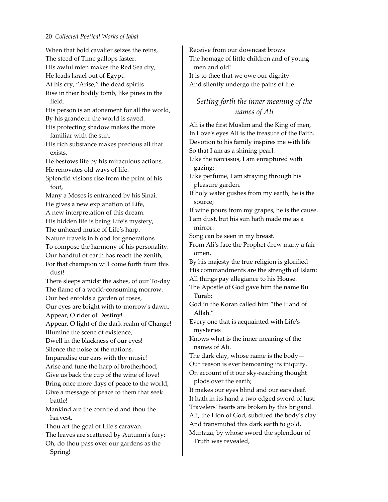When that bold cavalier seizes the reins, The steed of Time gallops faster. His awful mien makes the Red Sea dry,

He leads lsrael out of Egypt.

At his cry, "Arise," the dead spirits

Rise in their bodily tomb, like pines in the field.

His person is an atonement for all the world, By his grandeur the world is saved.

His protecting shadow makes the mote familiar with the sun,

His rich substance makes precious all that exists.

He bestows life by his miraculous actions, He renovates old ways of life.

Splendid visions rise from the print of his foot,

Many a Moses is entranced by his Sinai. He gives a new explanation of Life, A new interpretation of this dream. His hidden life is being Life's mystery, The unheard music of Life's harp.

Nature travels in blood for generations To compose the harmony of his personality. Our handful of earth has reach the zenith, For that champion will come forth from this

dust! There sleeps amidst the ashes, of our To-day The flame of a world-consuming morrow. Our bed enfolds a garden of roses, Our eyes are bright with to-morrow's dawn. Appear, O rider of Destiny! Appear, O light of the dark realm of Change! Illumine the scene of existence,

Dwell in the blackness of our eyes! Silence the noise of the nations, Imparadise our ears with thy music! Arise and tune the harp of brotherhood, Give us back the cup of the wine of love! Bring once more days of peace to the world,

Give a message of peace to them that seek battle! Mankind are the cornfield and thou the

harvest,

Thou art the goal of Life's caravan.

The leaves are scattered by Autumn's fury: Oh, do thou pass over our gardens as the Spring!

Receive from our downcast brows The homage of little children and of young men and old! It is to thee that we owe our dignity And silently undergo the pains of life.

### *Setting forth the inner meaning of the names of Ali*

Ali is the first Muslim and the King of men, In Love's eyes Ali is the treasure of the Faith. Devotion to his family inspires me with life So that I am as a shining pearl.

Like the narcissus, I am enraptured with gazing:

Like perfume, I am straying through his pleasure garden.

If holy water gushes from my earth, he is the source;

If wine pours from my grapes, he is the cause.

I am dust, but his sun hath made me as a mirror:

Song can be seen in my breast.

From Ali's face the Prophet drew many a fair omen,

By his majesty the true religion is glorified

His commandments are the strength of Islam: All things pay allegiance to his House.

The Apostle of God gave him the name Bu Turab;

God in the Koran called him "the Hand of Allah."

Every one that is acquainted with Life's mysteries

Knows what is the inner meaning of the names of Ali.

The dark clay, whose name is the body  $-$ Our reason is ever bemoaning its iniquity. On account of it our sky-reaching thought plods over the earth;

It makes our eyes blind and our ears deaf. It hath in its hand a two-edged sword of lust: Travelers' hearts are broken by this brigand. Ali, the Lion of God, subdued the body's clay And transmuted this dark earth to gold. Murtaza, by whose sword the splendour of Truth was revealed,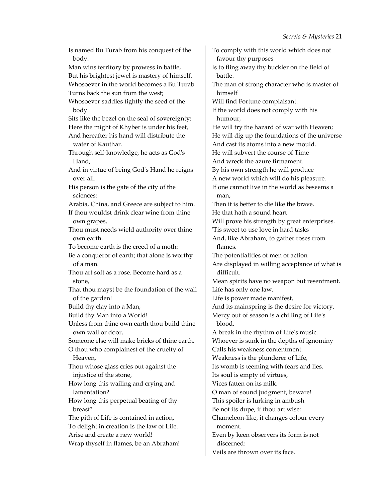Is named Bu Turab from his conquest of the body. Man wins territory by prowess in battle, But his brightest jewel is mastery of himself. Whosoever in the world becomes a Bu Turab Turns back the sun from the west; Whosoever saddles tightly the seed of the body Sits like the bezel on the seal of sovereignty: Here the might of Khyber is under his feet, And hereafter his hand will distribute the water of Kauthar. Through self-knowledge, he acts as God's Hand, And in virtue of being God's Hand he reigns over all. His person is the gate of the city of the sciences: Arabia, China, and Greece are subject to him. If thou wouldst drink clear wine from thine own grapes, Thou must needs wield authority over thine own earth. To become earth is the creed of a moth: Be a conqueror of earth; that alone is worthy of a man. Thou art soft as a rose. Become hard as a stone, That thou mayst be the foundation of the wall of the garden! Build thy clay into a Man, Build thy Man into a World! Unless from thine own earth thou build thine own wall or door, Someone else will make bricks of thine earth. O thou who complainest of the cruelty of Heaven, Thou whose glass cries out against the injustice of the stone, How long this wailing and crying and lamentation? How long this perpetual beating of thy breast? The pith of Life is contained in action, To delight in creation is the law of Life. Arise and create a new world! Wrap thyself in flames, be an Abraham! To comply with this world which does not favour thy purposes Is to fling away thy buckler on the field of battle. The man of strong character who is master of himself Will find Fortune complaisant. If the world does not comply with his humour, He will try the hazard of war with Heaven; He will dig up the foundations of the universe And cast its atoms into a new mould. He will subvert the course of Time And wreck the azure firmament. By his own strength he will produce A new world which will do his pleasure. If one cannot live in the world as beseems a man, Then it is better to die like the brave. He that hath a sound heart Will prove his strength by great enterprises. 'Tis sweet to use love in hard tasks And, like Abraham, to gather roses from flames. The potentialities of men of action Are displayed in willing acceptance of what is difficult. Mean spirits have no weapon but resentment. Life has only one law. Life is power made manifest, And its mainspring is the desire for victory. Mercy out of season is a chilling of Life's blood, A break in the rhythm of Life's music. Whoever is sunk in the depths of ignominy Calls his weakness contentment. Weakness is the plunderer of Life, Its womb is teeming with fears and lies. Its soul is empty of virtues, Vices fatten on its milk. O man of sound judgment, beware! This spoiler is lurking in ambush Be not its dupe, if thou art wise: Chameleon-like, it changes colour every moment. Even by keen observers its form is not discerned: Veils are thrown over its face.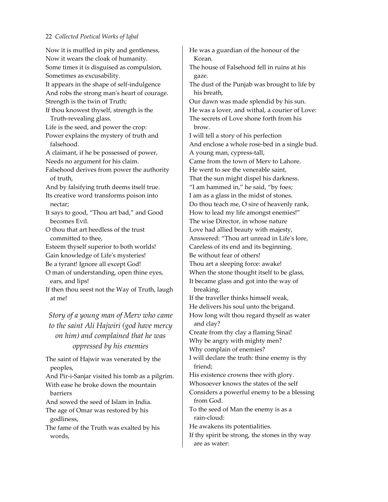Now it is muffled in pity and gentleness, Now it wears the cloak of humanity. Some times it is disguised as compulsion, Sometimes as excusability. It appears in the shape of self-indulgence And robs the strong man's heart of courage. Strength is the twin of Truth; If thou knowest thyself, strength is the Truth-revealing glass. Life is the seed, and power the crop: Power explains the mystery of truth and falsehood. A claimant, if he be possessed of power, Needs no argument for his claim. Falsehood derives from power the authority of truth, And by falsifying truth deems itself true. Its creative word transforms poison into nectar; It says to good, "Thou art bad," and Good becomes Evil. O thou that art heedless of the trust committed to thee, Esteem thyself superior to both worlds! Gain knowledge of Life's mysteries! Be a tyrant! Ignore all except God! O man of understanding, open thine eyes, ears, and lips! If then thou seest not the Way of Truth, laugh at me! *Story of a young man of Merv who came to the saint Ali Hajwiri (god have mercy on him) and complained that he was oppressed by his enemies* The saint of Hajwir was venerated by the peoples, And Pir-i-Sanjar visited his tomb as a pilgrim. With ease he broke down the mountain barriers And sowed the seed of Islam in India. The age of Omar was restored by his godliness, The fame of the Truth was exalted by his

words,

He was a lover, and withal, a courier of Love: The secrets of Love shone forth from his brow. I will tell a story of his perfection And enclose a whole rose-bed in a single bud. A young man, cypress-tall, Came from the town of Merv to Lahore. He went to see the venerable saint, That the sun might dispel his darkness. "I am hammed in," he said, "by foes; I am as a glass in the midst of stones. Do thou teach me, O sire of heavenly rank, How to lead my life amongst enemies!" The wise Director, in whose nature Love had allied beauty with majesty, Answered: "Thou art unread in Life's lore, Careless of its end and its beginning. Be without fear of others! Thou art a sleeping force: awake! When the stone thought itself to be glass, It became glass and got into the way of breaking. If the traveller thinks himself weak, He delivers his soul unto the brigand. How long wilt thou regard thyself as water and clay? Create from thy clay a flaming Sinai! Why be angry with mighty men? Why complain of enemies? I will declare the truth: thine enemy is thy friend; His existence crowns thee with glory. Whosoever knows the states of the self Considers a powerful enemy to be a blessing from God. To the seed of Man the enemy is as a rain-cloud: He awakens its potentialities. If thy spirit be strong, the stones in thy way are as water:

He was a guardian of the honour of the

The house of Falsehood fell in ruins at his

Our dawn was made splendid by his sun.

The dust of the Punjab was brought to life by

Koran.

gaze.

his breath,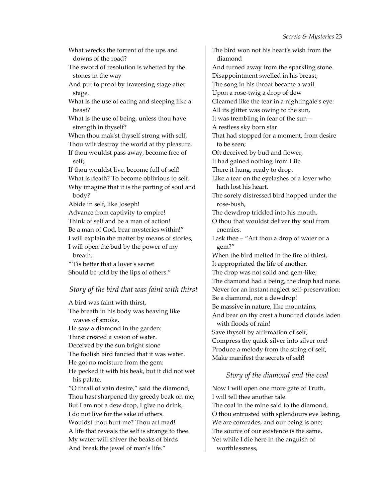What wrecks the torrent of the ups and downs of the road?

The sword of resolution is whetted by the stones in the way

And put to proof by traversing stage after stage.

What is the use of eating and sleeping like a beast?

What is the use of being, unless thou have strength in thyself?

When thou mak'st thyself strong with self, Thou wilt destroy the world at thy pleasure.

If thou wouldst pass away, become free of self;

If thou wouldst live, become full of self! What is death? To become oblivious to self. Why imagine that it is the parting of soul and body?

Abide in self, like Joseph! Advance from captivity to empire! Think of self and be a man of action! Be a man of God, bear mysteries within!" I will explain the matter by means of stories, I will open the bud by the power of my breath.

"'Tis better that a lover's secret Should be told by the lips of others."

#### *Story of the bird that was faint with thirst*

A bird was faint with thirst, The breath in his body was heaving like waves of smoke. He saw a diamond in the garden: Thirst created a vision of water. Deceived by the sun bright stone The foolish bird fancied that it was water. He got no moisture from the gem: He pecked it with his beak, but it did not wet his palate. "O thrall of vain desire," said the diamond, Thou hast sharpened thy greedy beak on me; But I am not a dew drop, I give no drink, I do not live for the sake of others. Wouldst thou hurt me? Thou art mad! A life that reveals the self is strange to thee. My water will shiver the beaks of birds And break the jewel of man's life."

The bird won not his heart's wish from the diamond And turned away from the sparkling stone. Disappointment swelled in his breast, The song in his throat became a wail. Upon a rose-twig a drop of dew Gleamed like the tear in a nightingale's eye: All its glitter was owing to the sun, It was trembling in fear of the sun— A restless sky born star That had stopped for a moment, from desire to be seen; Oft deceived by bud and flower, It had gained nothing from Life. There it hung, ready to drop, Like a tear on the eyelashes of a lover who hath lost his heart. The sorely distressed bird hopped under the rose-bush, The dewdrop trickled into his mouth. O thou that wouldst deliver thy soul from enemies. I ask thee – "Art thou a drop of water or a gem?" When the bird melted in the fire of thirst, It appropriated the life of another. The drop was not solid and gem-like; The diamond had a being, the drop had none. Never for an instant neglect self-preservation: Be a diamond, not a dewdrop! Be massive in nature, like mountains, And bear on thy crest a hundred clouds laden with floods of rain! Save thyself by affirmation of self, Compress thy quick silver into silver ore! Produce a melody from the string of self, Make manifest the secrets of self!

#### *Story of the diamond and the coal*

Now I will open one more gate of Truth, I will tell thee another tale. The coal in the mine said to the diamond, O thou entrusted with splendours eve lasting, We are comrades, and our being is one; The source of our existence is the same, Yet while I die here in the anguish of worthlessness,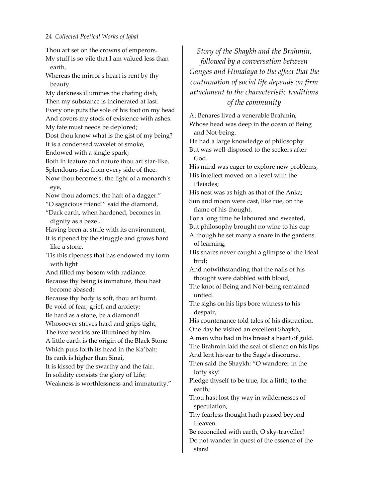Thou art set on the crowns of emperors. My stuff is so vile that I am valued less than earth,

Whereas the mirror's heart is rent by thy beauty.

My darkness illumines the chafing dish, Then my substance is incinerated at last. Every one puts the sole of his foot on my head And covers my stock of existence with ashes. My fate must needs be deplored;

Dost thou know what is the gist of my being? It is a condensed wavelet of smoke,

Endowed with a single spark;

Both in feature and nature thou art star-like, Splendours rise from every side of thee.

Now thou become'st the light of a monarch's eye,

Now thou adornest the haft of a dagger." "O sagacious friend!" said the diamond,

"Dark earth, when hardened, becomes in dignity as a bezel.

Having been at strife with its environment,

It is ripened by the struggle and grows hard like a stone.

'Tis this ripeness that has endowed my form with light

And filled my bosom with radiance.

Because thy being is immature, thou hast become abased;

Because thy body is soft, thou art burnt. Be void of fear, grief, and anxiety;

Be hard as a stone, be a diamond!

Whosoever strives hard and grips tight,

The two worlds are illumined by him.

A little earth is the origin of the Black Stone Which puts forth its head in the Ka'bah:

Its rank is higher than Sinai,

It is kissed by the swarthy and the fair.

In solidity consists the glory of Life;

Weakness is worthlessness and immaturity."

*Story of the Shaykh and the Brahmin, followed by a conversation between Ganges and Himalaya to the effect that the continuation of social life depends on firm attachment to the characteristic traditions of the community*

At Benares lived a venerable Brahmin, Whose head was deep in the ocean of Being and Not-being. He had a large knowledge of philosophy

But was well-disposed to the seekers after God.

His mind was eager to explore new problems,

His intellect moved on a level with the Pleiades;

His nest was as high as that of the Anka; Sun and moon were cast, like rue, on the

flame of his thought.

For a long time he laboured and sweated, But philosophy brought no wine to his cup

Although he set many a snare in the gardens of learning,

His snares never caught a glimpse of the Ideal bird;

And notwithstanding that the nails of his thought were dabbled with blood,

The knot of Being and Not-being remained untied.

The sighs on his lips bore witness to his despair,

His countenance told tales of his distraction. One day he visited an excellent Shaykh,

A man who bad in his breast a heart of gold.

The Brahmin laid the seal of silence on his lips

And lent his ear to the Sage's discourse.

Then said the Shaykh: "O wanderer in the lofty sky!

Pledge thyself to be true, for a little, to the earth;

Thou hast lost thy way in wildernesses of speculation,

Thy fearless thought hath passed beyond Heaven.

Be reconciled with earth, O sky-traveller!

Do not wander in quest of the essence of the stars!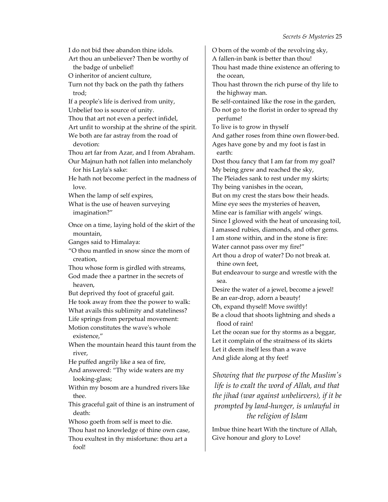I do not bid thee abandon thine idols. Art thou an unbeliever? Then be worthy of the badge of unbelief! O inheritor of ancient culture, Turn not thy back on the path thy fathers trod; If a people's life is derived from unity, Unbelief too is source of unity. Thou that art not even a perfect infidel, Art unfit to worship at the shrine of the spirit. We both are far astray from the road of devotion: Thou art far from Azar, and I from Abraham. Our Majnun hath not fallen into melancholy for his Layla's sake: He hath not become perfect in the madness of love. When the lamp of self expires, What is the use of heaven surveying imagination?" Once on a time, laying hold of the skirt of the mountain, Ganges said to Himalaya: "O thou mantled in snow since the morn of creation, Thou whose form is girdled with streams, God made thee a partner in the secrets of heaven, But deprived thy foot of graceful gait. He took away from thee the power to walk: What avails this sublimity and stateliness? Life springs from perpetual movement: Motion constitutes the wave's whole existence," When the mountain heard this taunt from the river, He puffed angrily like a sea of fire, And answered: "Thy wide waters are my looking-glass; Within my bosom are a hundred rivers like thee. This graceful gait of thine is an instrument of death: Whoso goeth from self is meet to die. Thou hast no knowledge of thine own case, Thou exultest in thy misfortune: thou art a fool!

O born of the womb of the revolving sky, A fallen-in bank is better than thou! Thou hast made thine existence an offering to the ocean, Thou hast thrown the rich purse of thy life to the highway man. Be self-contained like the rose in the garden, Do not go to the florist in order to spread thy perfume! To live is to grow in thyself And gather roses from thine own flower-bed. Ages have gone by and my foot is fast in earth: Dost thou fancy that I am far from my goal? My being grew and reached the sky, The Pleiades sank to rest under my skirts; Thy being vanishes in the ocean, But on my crest the stars bow their heads. Mine eye sees the mysteries of heaven, Mine ear is familiar with angels' wings. Since I glowed with the heat of unceasing toil, I amassed rubies, diamonds, and other gems. I am stone within, and in the stone is fire: Water cannot pass over my fire!" Art thou a drop of water? Do not break at. thine own feet, But endeavour to surge and wrestle with the sea. Desire the water of a jewel, become a jewel! Be an ear-drop, adorn a beauty! Oh, expand thyself! Move swiftly! Be a cloud that shoots lightning and sheds a flood of rain! Let the ocean sue for thy storms as a beggar, Let it complain of the straitness of its skirts Let it deem itself less than a wave And glide along at thy feet!

*Showing that the purpose of the Muslim's life is to exalt the word of Allah, and that the jihad (war against unbelievers), if it be prompted by land-hunger, is unlawful in the religion of Islam*

Imbue thine heart With the tincture of Allah, Give honour and glory to Love!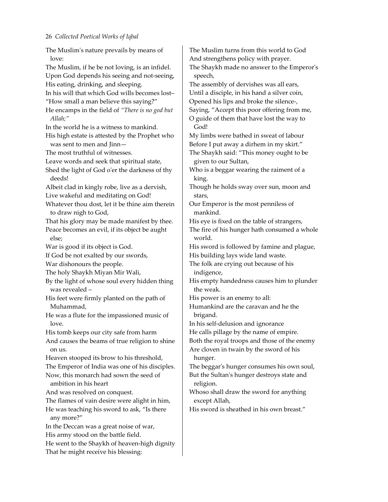The Muslim's nature prevails by means of love: The Muslim, if he be not loving, is an infidel. Upon God depends his seeing and not-seeing, His eating, drinking, and sleeping. In his will that which God wills becomes lost– "How small a man believe this saying?" He encamps in the field of *"There is no god but Allah;"* In the world he is a witness to mankind. His high estate is attested by the Prophet who was sent to men and Jinn— The most truthful of witnesses. Leave words and seek that spiritual state, Shed the light of God o'er the darkness of thy deeds! Albeit clad in kingly robe, live as a dervish, Live wakeful and meditating on God! Whatever thou dost, let it be thine aim therein to draw nigh to God, That his glory may be made manifest by thee. Peace becomes an evil, if its object be aught else; War is good if its object is God. If God be not exalted by our swords, War dishonours the people. The holy Shaykh Miyan Mir Wali, By the light of whose soul every hidden thing was revealed – His feet were firmly planted on the path of Muhammad, He was a flute for the impassioned music of love. His tomb keeps our city safe from harm And causes the beams of true religion to shine on us. Heaven stooped its brow to his threshold, The Emperor of India was one of his disciples. Now, this monarch had sown the seed of ambition in his heart And was resolved on conquest. The flames of vain desire were alight in him, He was teaching his sword to ask, "Is there any more?" In the Deccan was a great noise of war, His army stood on the battle field. He went to the Shaykh of heaven-high dignity That he might receive his blessing: The Muslim turns from this world to God And strengthens policy with prayer. The Shaykh made no answer to the Emperor's speech, The assembly of dervishes was all ears, Until a disciple, in his hand a silver coin, Opened his lips and broke the silence-, Saying, "Accept this poor offering from me, God! given to our Sultan, king. stars, mankind. world. indigence, the weak. His power is an enemy to all: brigand. hunger. religion. except Allah,

O guide of them that have lost the way to My limbs were bathed in sweat of labour Before I put away a dirhem in my skirt." The Shaykh said: "This money ought to be Who is a beggar wearing the raiment of a Though he holds sway over sun, moon and Our Emperor is the most penniless of His eye is fixed on the table of strangers, The fire of his hunger hath consumed a whole His sword is followed by famine and plague, His building lays wide land waste. The folk are crying out because of his His empty handedness causes him to plunder

Humankind are the caravan and he the

In his self-delusion and ignorance

He calls pillage by the name of empire.

Both the royal troops and those of the enemy

Are cloven in twain by the sword of his

The beggar's hunger consumes his own soul,

But the Sultan's hunger destroys state and

Whoso shall draw the sword for anything

His sword is sheathed in his own breast."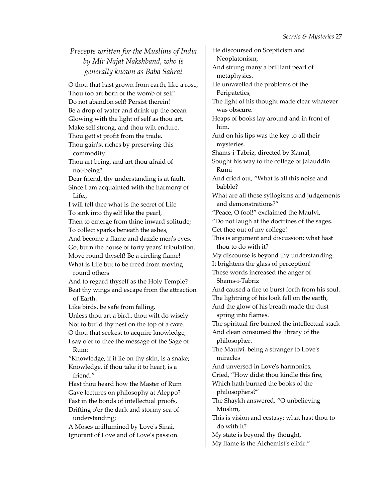### *Precepts written for the Muslims of India by Mir Najat Nakshband, who is generally known as Baba Sahrai*

O thou that hast grown from earth, like a rose, Thou too art born of the womb of self! Do not abandon self! Persist therein! Be a drop of water and drink up the ocean Glowing with the light of self as thou art, Make self strong, and thou wilt endure. Thou gett'st profit from the trade, Thou gain'st riches by preserving this commodity. Thou art being, and art thou afraid of not-being? Dear friend, thy understanding is at fault. Since I am acquainted with the harmony of Life., I will tell thee what is the secret of Life – To sink into thyself like the pearl, Then to emerge from thine inward solitude; To collect sparks beneath the ashes, And become a flame and dazzle men's eyes. Go, burn the house of forty years' tribulation, Move round thyself! Be a circling flame! What is Life but to be freed from moving round others And to regard thyself as the Holy Temple? Beat thy wings and escape from the attraction of Earth: Like birds, be safe from falling. Unless thou art a bird., thou wilt do wisely Not to build thy nest on the top of a cave. O thou that seekest to acquire knowledge, I say o'er to thee the message of the Sage of Rum: "Knowledge, if it lie on thy skin, is a snake; Knowledge, if thou take it to heart, is a friend." Hast thou heard how the Master of Rum Gave lectures on philosophy at Aleppo? – Fast in the bonds of intellectual proofs, Drifting o'er the dark and stormy sea of understanding; A Moses unillumined by Love's Sinai, Ignorant of Love and of Love's passion.

He discoursed on Scepticism and Neoplatonism, And strung many a brilliant pearl of metaphysics. He unravelled the problems of the Peripatetics, The light of his thought made clear whatever was obscure. Heaps of books lay around and in front of him, And on his lips was the key to all their mysteries. Shams-i-Tabriz, directed by Kamal, Sought his way to the college of Jalauddin Rumi And cried out, "What is all this noise and babble? What are all these syllogisms and judgements and demonstrations?" "Peace, O fool!" exclaimed the Maulvi, "Do not laugh at the doctrines of the sages. Get thee out of my college! This is argument and discussion; what hast thou to do with it? My discourse is beyond thy understanding. It brightens the glass of perception! These words increased the anger of Shams-i-Tabriz And caused a fire to burst forth from his soul. The lightning of his look fell on the earth, And the glow of his breath made the dust spring into flames. The spiritual fire burned the intellectual stack And clean consumed the library of the philosopher. The Maulvi, being a stranger to Love's miracles And unversed in Love's harmonies, Cried, "How didst thou kindle this fire, Which hath burned the books of the philosophers?" The Shaykh answered, "O unbelieving Muslim, This is vision and ecstasy: what hast thou to do with it? My state is beyond thy thought,

My flame is the Alchemist's elixir."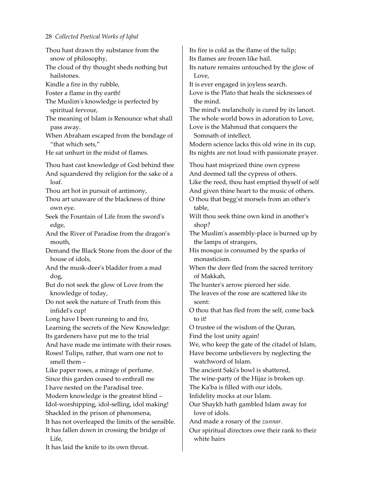Thou hast drawn thy substance from the snow of philosophy, The cloud of thy thought sheds nothing but hailstones. Kindle a fire in thy rubble, Foster a flame in thy earth! The Muslim's knowledge is perfected by spiritual fervour, The meaning of Islam is Renounce what shall pass away. When Abraham escaped from the bondage of "that which sets," He sat unhurt in the midst of flames. Thou hast cast knowledge of God behind thee And squandered thy religion for the sake of a loaf. Thou art hot in pursuit of antimony, Thou art unaware of the blackness of thine own eye. Seek the Fountain of Life from the sword's edge, And the River of Paradise from the dragon's mouth, Demand the Black Stone from the door of the house of idols, And the musk-deer's bladder from a mad dog, But do not seek the glow of Love from the knowledge of today, Do not seek the nature of Truth from this infidel's cup! Long have I been running to and fro, Learning the secrets of the New Knowledge: Its gardeners have put me to the trial And have made me intimate with their roses. Roses! Tulips, rather, that warn one not to smell them – Like paper roses, a mirage of perfume. Since this garden ceased to enthrall me I have nested on the Paradisal tree. Modern knowledge is the greatest blind – Idol-worshipping, idol-selling, idol making! Shackled in the prison of phenomena, It has not overleaped the limits of the sensible. It has fallen down in crossing the bridge of  $I$  ife. It has laid the knife to its own throat.

Its fire is cold as the flame of the tulip; Its flames are frozen like hail. Its nature remains untouched by the glow of Love, It is ever engaged in joyless search. Love is the Plato that heals the sicknesses of the mind. The mind's melancholy is cured by its lancet. The whole world bows in adoration to Love, Love is the Mahmud that conquers the Somnath of intellect. Modern science lacks this old wine in its cup, Its nights are not loud with passionate prayer. Thou hast misprized thine own cypress And deemed tall the cypress of others. Like the reed, thou hast emptied thyself of self And given thine heart to the music of others. O thou that begg'st morsels from an other's table, Wilt thou seek thine own kind in another's shop? The Muslim's assembly-place is burned up by the lamps of strangers, His mosque is consumed by the sparks of monasticism. When the deer fled from the sacred territory of Makkah, The hunter's arrow pierced her side. The leaves of the rose are scattered like its scent: O thou that has fled from the self, come back to it! O trustee of the wisdom of the Quran, Find the lost unity again! We, who keep the gate of the citadel of Islam, Have become unbelievers by neglecting the watchword of Islam. The ancient Saki's bowl is shattered, The wine-party of the Hijaz is broken up. The Ka'ba is filled with our idols, Infidelity mocks at our Islam. Our Shaykh hath gambled Islam away for love of idols. And made a rosary of the *zunnar.* Our spiritual directors owe their rank to their

white hairs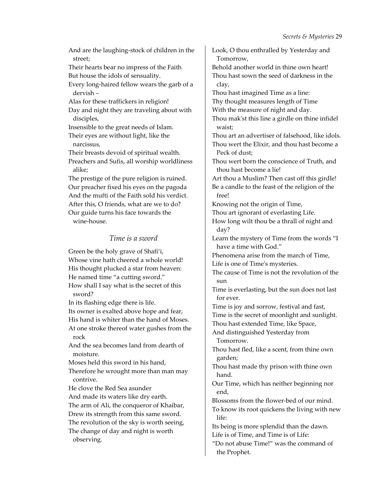And are the laughing-stock of children in the street;

Their hearts bear no impress of the Faith But house the idols of sensuality.

Every long-haired fellow wears the garb of a dervish –

Alas for these traffickers in religion!

Day and night they are traveling about with disciples,

Insensible to the great needs of Islam.

Their eyes are without light, like the narcissus,

Their breasts devoid of spiritual wealth. Preachers and Sufis, all worship worldliness

alike;

The prestige of the pure religion is ruined. Our preacher fixed his eyes on the pagoda And the mufti of the Faith sold his verdict. After this, O friends, what are we to do? Our guide turns his face towards the wine-house.

#### *Time is a sword*

Green be the holy grave of Shafi'i, Whose vine hath cheered a whole world! His thought plucked a star from heaven: He named time "a cutting sword." How shall I say what is the secret of this

sword?

In its flashing edge there is life. Its owner is exalted above hope and fear,

His hand is whiter than the hand of Moses.

At one stroke thereof water gushes from the rock

And the sea becomes land from dearth of moisture.

Moses held this sword in his hand,

Therefore he wrought more than man may contrive.

He clove the Red Sea asunder

And made its waters like dry earth.

The arm of Ali, the conqueror of Khaibar,

Drew its strength from this same sword.

The revolution of the sky is worth seeing, The change of day and night is worth

observing.

Look, O thou enthralled by Yesterday and Tomorrow, Behold another world in thine own heart! Thou hast sown the seed of darkness in the clay, Thou hast imagined Time as a line: Thy thought measures length of Time With the measure of night and day. Thou mak'st this line a girdle on thine infidel waist; Thou art an advertiser of falsehood, like idols. Thou wert the Elixir, and thou hast become a Peck of dust; Thou wert born the conscience of Truth, and thou hast become a lie! Art thou a Muslim? Then cast off this girdle! Be a candle to the feast of the religion of the free! Knowing not the origin of Time, Thou art ignorant of everlasting Life. How long wilt thou be a thrall of night and day? Learn the mystery of Time from the words "I have a time with God." Phenomena arise from the march of Time, Life is one of Time's mysteries. The cause of Time is not the revolution of the sun Time is everlasting, but the sun does not last for ever. Time is joy and sorrow, festival and fast, Time is the secret of moonlight and sunlight. Thou hast extended Time, like Space, And distinguished Yesterday from Tomorrow. Thou hast fled, like a scent, from thine own garden; Thou hast made thy prison with thine own hand. Our Time, which has neither beginning nor end, Blossoms from the flower-bed of our mind. To know its root quickens the living with new life: Its being is more splendid than the dawn. Life is of Time, and Time is of Life:

"Do not abuse Time!" was the command of the Prophet.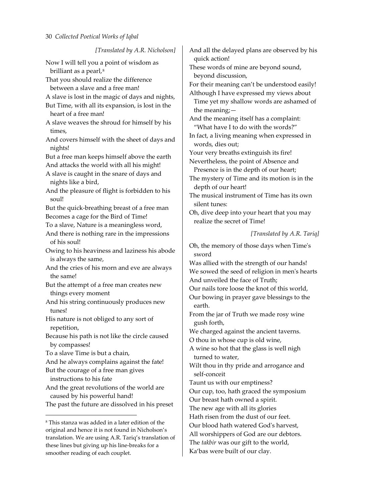*[Translated by A.R. Nicholson]* Now I will tell you a point of wisdom as brilliant as a pearl,<sup>[8](#page-27-0)</sup> That you should realize the difference between a slave and a free man! A slave is lost in the magic of days and nights, But Time, with all its expansion, is lost in the heart of a free man! A slave weaves the shroud for himself by his times, And covers himself with the sheet of days and nights! But a free man keeps himself above the earth And attacks the world with all his might! A slave is caught in the snare of days and nights like a bird, And the pleasure of flight is forbidden to his soul! But the quick-breathing breast of a free man Becomes a cage for the Bird of Time! To a slave, Nature is a meaningless word, And there is nothing rare in the impressions of his soul! Owing to his heaviness and laziness his abode is always the same, And the cries of his morn and eve are always the same! But the attempt of a free man creates new things every moment And his string continuously produces new tunes! His nature is not obliged to any sort of repetition, Because his path is not like the circle caused by compasses! To a slave Time is but a chain, And he always complains against the fate! But the courage of a free man gives instructions to his fate And the great revolutions of the world are caused by his powerful hand! The past the future are dissolved in his preset  $\overline{a}$ <sup>8</sup> This stanza was added in a later edition of the original and hence it is not found in Nicholson's translation. We are using A.R. Tariq's translation of

<span id="page-27-0"></span>these lines but giving up his line-breaks for a

smoother reading of each couplet.

And all the delayed plans are observed by his quick action!

These words of mine are beyond sound, beyond discussion,

For their meaning can't be understood easily!

Although I have expressed my views about Time yet my shallow words are ashamed of the meaning;—

And the meaning itself has a complaint: "What have I to do with the words?"

In fact, a living meaning when expressed in words, dies out;

Your very breaths extinguish its fire!

Nevertheless, the point of Absence and Presence is in the depth of our heart;

The mystery of Time and its motion is in the depth of our heart!

The musical instrument of Time has its own silent tunes:

Oh, dive deep into your heart that you may realize the secret of Time!

#### *[Translated by A.R. Tariq]*

Oh, the memory of those days when Time's sword

Was allied with the strength of our hands! We sowed the seed of religion in men's hearts And unveiled the face of Truth;

Our nails tore loose the knot of this world,

Our bowing in prayer gave blessings to the earth.

From the jar of Truth we made rosy wine gush forth,

We charged against the ancient taverns.

O thou in whose cup is old wine,

A wine so hot that the glass is well nigh turned to water,

Wilt thou in thy pride and arrogance and self-conceit

Taunt us with our emptiness?

Our cup, too, hath graced the symposium

Our breast hath owned a spirit.

The new age with all its glories

Hath risen from the dust of our feet.

Our blood hath watered God's harvest,

All worshippers of God are our debtors.

The *takbir* was our gift to the world,

Ka'bas were built of our clay.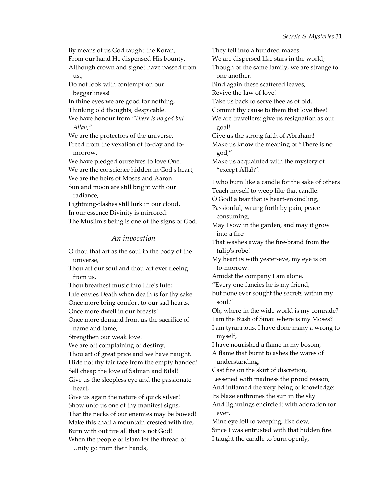By means of us God taught the Koran, From our hand He dispensed His bounty. Although crown and signet have passed from us., Do not look with contempt on our beggarliness! In thine eyes we are good for nothing, Thinking old thoughts, despicable. We have honour from *"There is no god but Allah,"* We are the protectors of the universe. Freed from the vexation of to-day and tomorrow, We have pledged ourselves to love One. We are the conscience hidden in God's heart, We are the heirs of Moses and Aaron. Sun and moon are still bright with our radiance, Lightning-flashes still lurk in our cloud. In our essence Divinity is mirrored: The Muslim's being is one of the signs of God.

#### *An invocation*

O thou that art as the soul in the body of the universe,

Thou art our soul and thou art ever fleeing  $from <sub>115</sub>$ 

Thou breathest music into Life's lute;

Life envies Death when death is for thy sake. Once more bring comfort to our sad hearts, Once more dwell in our breasts!

Once more demand from us the sacrifice of name and fame,

Strengthen our weak love.

We are oft complaining of destiny,

Thou art of great price and we have naught. Hide not thy fair face from the empty handed!

Sell cheap the love of Salman and Bilal!

Give us the sleepless eye and the passionate heart,

Give us again the nature of quick silver! Show unto us one of thy manifest signs, That the necks of our enemies may be bowed! Make this chaff a mountain crested with fire, Burn with out fire all that is not God! When the people of Islam let the thread of Unity go from their hands,

They fell into a hundred mazes. We are dispersed like stars in the world; Though of the same family, we are strange to one another. Bind again these scattered leaves, Revive the law of love! Take us back to serve thee as of old, Commit thy cause to them that love thee! We are travellers: give us resignation as our goal! Give us the strong faith of Abraham! Make us know the meaning of "There is no god," Make us acquainted with the mystery of "except Allah"! I who burn like a candle for the sake of others Teach myself to weep like that candle. O God! a tear that is heart-enkindling, Passionful, wrung forth by pain, peace consuming, May I sow in the garden, and may it grow into a fire That washes away the fire-brand from the tulip's robe! My heart is with yester-eve, my eye is on to-morrow: Amidst the company I am alone. "Every one fancies he is my friend, But none ever sought the secrets within my soul." Oh, where in the wide world is my comrade? I am the Bush of Sinai: where is my Moses? I am tyrannous, I have done many a wrong to myself, I have nourished a flame in my bosom, A flame that burnt to ashes the wares of understanding, Cast fire on the skirt of discretion, Lessened with madness the proud reason, And inflamed the very being of knowledge: Its blaze enthrones the sun in the sky And lightnings encircle it with adoration for ever. Mine eye fell to weeping, like dew,

Since I was entrusted with that hidden fire. I taught the candle to burn openly,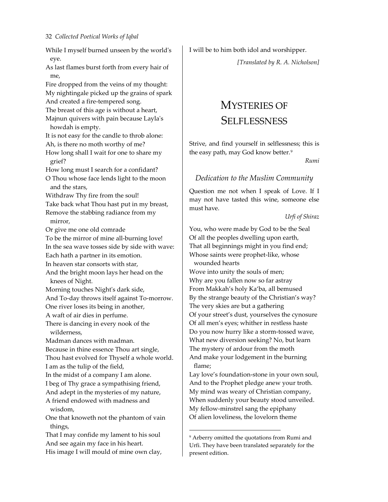While I myself burned unseen by the world's eye. As last flames burst forth from every hair of me, Fire dropped from the veins of my thought: My nightingale picked up the grains of spark And created a fire-tempered song. The breast of this age is without a heart, Majnun quivers with pain because Layla's howdah is empty. It is not easy for the candle to throb alone: Ah, is there no moth worthy of me? How long shall I wait for one to share my grief? How long must I search for a confidant? O Thou whose face lends light to the moon and the stars, Withdraw Thy fire from the soul! Take back what Thou hast put in my breast, Remove the stabbing radiance from my mirror, Or give me one old comrade To be the mirror of mine all-burning love! In the sea wave tosses side by side with wave: Each hath a partner in its emotion. In heaven star consorts with star, And the bright moon lays her head on the knees of Night. Morning touches Night's dark side, And To-day throws itself against To-morrow. One river loses its being in another, A waft of air dies in perfume. There is dancing in every nook of the wilderness, Madman dances with madman. Because in thine essence Thou art single, Thou hast evolved for Thyself a whole world. I am as the tulip of the field, In the midst of a company I am alone. I beg of Thy grace a sympathising friend, And adept in the mysteries of my nature, A friend endowed with madness and wisdom, One that knoweth not the phantom of vain things, That I may confide my lament to his soul And see again my face in his heart. His image I will mould of mine own clay,

I will be to him both idol and worshipper.

*[Translated by R. A. Nicholson]*

## MYSTERIES OF **SELFLESSNESS**

Strive, and find yourself in selflessness; this is the easy path, may God know better.<sup>[9](#page-29-0)</sup>

*Rumi*

### *Dedication to the Muslim Community*

Question me not when I speak of Love. If I may not have tasted this wine, someone else must have.

*Urfi of Shiraz*

You, who were made by God to be the Seal Of all the peoples dwelling upon earth, That all beginnings might in you find end; Whose saints were prophet-like, whose wounded hearts

Wove into unity the souls of men; Why are you fallen now so far astray From Makkah's holy Ka'ba, all bemused By the strange beauty of the Christian's way? The very skies are but a gathering Of your street's dust, yourselves the cynosure Of all men's eyes; whither in restless haste Do you now hurry like a storm-tossed wave, What new diversion seeking? No, but learn The mystery of ardour from the moth And make your lodgement in the burning flame;

Lay love's foundation-stone in your own soul, And to the Prophet pledge anew your troth. My mind was weary of Christian company, When suddenly your beauty stood unveiled. My fellow-minstrel sang the epiphany Of alien loveliness, the lovelorn theme

-

<span id="page-29-0"></span><sup>&</sup>lt;sup>9</sup> Arberry omitted the quotations from Rumi and Urfi. They have been translated separately for the present edition.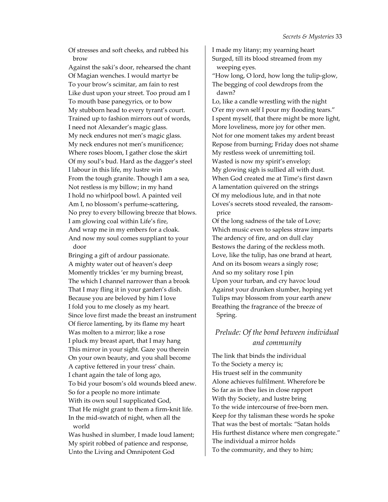Of stresses and soft cheeks, and rubbed his brow

Against the saki's door, rehearsed the chant Of Magian wenches. I would martyr be To your brow's scimitar, am fain to rest Like dust upon your street. Too proud am I To mouth base panegyrics, or to bow My stubborn head to every tyrant's court. Trained up to fashion mirrors out of words, I need not Alexander's magic glass. My neck endures not men's magic glass. My neck endures not men's munificence; Where roses bloom, I gather close the skirt Of my soul's bud. Hard as the dagger's steel I labour in this life, my lustre win From the tough granite. Though I am a sea, Not restless is my billow; in my hand I hold no whirlpool bowl. A painted veil Am I, no blossom's perfume-scattering, No prey to every billowing breeze that blows. I am glowing coal within Life's fire, And wrap me in my embers for a cloak. And now my soul comes suppliant to your door

Bringing a gift of ardour passionate. A mighty water out of heaven's deep Momently trickles 'er my burning breast, The which I channel narrower than a brook That I may fling it in your garden's dish. Because you are beloved by him I love I fold you to me closely as my heart. Since love first made the breast an instrument Of fierce lamenting, by its flame my heart Was molten to a mirror; like a rose I pluck my breast apart, that I may hang This mirror in your sight. Gaze you therein On your own beauty, and you shall become A captive fettered in your tress' chain. I chant again the tale of long ago, To bid your bosom's old wounds bleed anew. So for a people no more intimate With its own soul I supplicated God, That He might grant to them a firm-knit life. In the mid-swatch of night, when all the world

Was hushed in slumber, I made loud lament; My spirit robbed of patience and response, Unto the Living and Omnipotent God

I made my litany; my yearning heart Surged, till its blood streamed from my weeping eyes.

"How long, O lord, how long the tulip-glow, The begging of cool dewdrops from the dawn?

Lo, like a candle wrestling with the night O'er my own self I pour my flooding tears." I spent myself, that there might be more light, More loveliness, more joy for other men. Not for one moment takes my ardent breast Repose from burning; Friday does not shame My restless week of unremitting toil. Wasted is now my spirit's envelop; My glowing sigh is sullied all with dust. When God created me at Time's first dawn A lamentation quivered on the strings Of my melodious lute, and in that note Loves's secrets stood revealed, the ransomprice

Of the long sadness of the tale of Love; Which music even to sapless straw imparts The ardency of fire, and on dull clay Bestows the daring of the reckless moth. Love, like the tulip, has one brand at heart, And on its bosom wears a singly rose; And so my solitary rose I pin Upon your turban, and cry havoc loud Against your drunken slumber, hoping yet Tulips may blossom from your earth anew Breathing the fragrance of the breeze of Spring.

### *Prelude: Of the bond between individual and community*

The link that binds the individual To the Society a mercy is; His truest self in the community Alone achieves fulfilment. Wherefore be So far as in thee lies in close rapport With thy Society, and lustre bring To the wide intercourse of free-born men. Keep for thy talisman these words he spoke That was the best of mortals: "Satan holds His furthest distance where men congregate." The individual a mirror holds To the community, and they to him;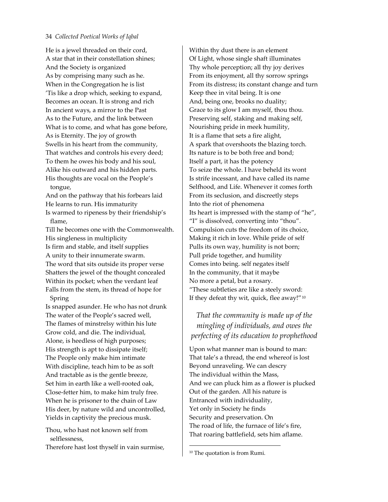He is a jewel threaded on their cord, A star that in their constellation shines; And the Society is organized As by comprising many such as he. When in the Congregation he is list 'Tis like a drop which, seeking to expand, Becomes an ocean. It is strong and rich In ancient ways, a mirror to the Past As to the Future, and the link between What is to come, and what has gone before, As is Eternity. The joy of growth Swells in his heart from the community, That watches and controls his every deed; To them he owes his body and his soul, Alike his outward and his hidden parts. His thoughts are vocal on the People's tongue,

And on the pathway that his forbears laid He learns to run. His immaturity Is warmed to ripeness by their friendship's flame,

Till he becomes one with the Commonwealth. His singleness in multiplicity Is firm and stable, and itself supplies A unity to their innumerate swarm. The word that sits outside its proper verse Shatters the jewel of the thought concealed Within its pocket; when the verdant leaf Falls from the stem, its thread of hope for Spring

Is snapped asunder. He who has not drunk The water of the People's sacred well, The flames of minstrelsy within his lute Grow cold, and die. The individual, Alone, is heedless of high purposes; His strength is apt to dissipate itself; The People only make him intimate With discipline, teach him to be as soft And tractable as is the gentle breeze, Set him in earth like a well-rooted oak, Close-fetter him, to make him truly free. When he is prisoner to the chain of Law His deer, by nature wild and uncontrolled, Yields in captivity the precious musk.

Thou, who hast not known self from selflessness,

<span id="page-31-0"></span>Therefore hast lost thyself in vain surmise,

Within thy dust there is an element Of Light, whose single shaft illuminates Thy whole perception; all thy joy derives From its enjoyment, all thy sorrow springs From its distress; its constant change and turn Keep thee in vital being. It is one And, being one, brooks no duality; Grace to its glow I am myself, thou thou. Preserving self, staking and making self, Nourishing pride in meek humility, It is a flame that sets a fire alight, A spark that overshoots the blazing torch. Its nature is to be both free and bond; Itself a part, it has the potency To seize the whole. I have beheld its wont Is strife incessant, and have called its name Selfhood, and Life. Whenever it comes forth From its seclusion, and discreetly steps Into the riot of phenomena Its heart is impressed with the stamp of "he", "I" is dissolved, converting into "thou". Compulsion cuts the freedom of its choice, Making it rich in love. While pride of self Pulls its own way, humility is not born; Pull pride together, and humility Comes into being. self negates itself In the community, that it maybe No more a petal, but a rosary. "These subtleties are like a steely sword: If they defeat thy wit, quick, flee away!"[10](#page-31-0)

### *That the community is made up of the mingling of individuals, and owes the perfecting of its education to prophethood*

Upon what manner man is bound to man: That tale's a thread, the end whereof is lost Beyond unraveling. We can descry The individual within the Mass, And we can pluck him as a flower is plucked Out of the garden. All his nature is Entranced with individuality, Yet only in Society he finds Security and preservation. On The road of life, the furnace of life's fire, That roaring battlefield, sets him aflame.

-

<sup>&</sup>lt;sup>10</sup> The quotation is from Rumi.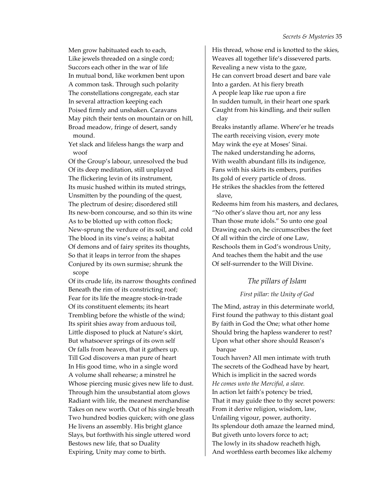Men grow habituated each to each, Like jewels threaded on a single cord; Succors each other in the war of life In mutual bond, like workmen bent upon A common task. Through such polarity The constellations congregate, each star In several attraction keeping each Poised firmly and unshaken. Caravans May pitch their tents on mountain or on hill, Broad meadow, fringe of desert, sandy mound.

Yet slack and lifeless hangs the warp and woof

Of the Group's labour, unresolved the bud Of its deep meditation, still unplayed The flickering levin of its instrument, Its music hushed within its muted strings, Unsmitten by the pounding of the quest, The plectrum of desire; disordered still Its new-born concourse, and so thin its wine As to be blotted up with cotton flock; New-sprung the verdure of its soil, and cold The blood in its vine's veins; a habitat Of demons and of fairy sprites its thoughts, So that it leaps in terror from the shapes Conjured by its own surmise; shrunk the scope

Of its crude life, its narrow thoughts confined Beneath the rim of its constricting roof; Fear for its life the meagre stock-in-trade Of its constituent elements; its heart Trembling before the whistle of the wind; Its spirit shies away from arduous toil, Little disposed to pluck at Nature's skirt, But whatsoever springs of its own self Or falls from heaven, that it gathers up. Till God discovers a man pure of heart In His good time, who in a single word A volume shall rehearse; a minstrel he Whose piercing music gives new life to dust. Through him the unsubstantial atom glows Radiant with life, the meanest merchandise Takes on new worth. Out of his single breath Two hundred bodies quicken; with one glass He livens an assembly. His bright glance Slays, but forthwith his single uttered word Bestows new life, that so Duality Expiring, Unity may come to birth.

His thread, whose end is knotted to the skies, Weaves all together life's dissevered parts. Revealing a new vista to the gaze, He can convert broad desert and bare vale Into a garden. At his fiery breath A people leap like rue upon a fire In sudden tumult, in their heart one spark Caught from his kindling, and their sullen clay

Breaks instantly aflame. Where'er he treads The earth receiving vision, every mote May wink the eye at Moses' Sinai. The naked understanding he adorns, With wealth abundant fills its indigence, Fans with his skirts its embers, purifies Its gold of every particle of dross. He strikes the shackles from the fettered slave,

Redeems him from his masters, and declares, "No other's slave thou art, nor any less Than those mute idols." So unto one goal Drawing each on, he circumscribes the feet Of all within the circle of one Law, Reschools them in God's wondrous Unity, And teaches them the habit and the use Of self-surrender to the Will Divine.

### *The pillars of Islam*

#### *First pillar: the Unity of God*

The Mind, astray in this determinate world, First found the pathway to this distant goal By faith in God the One; what other home Should bring the hapless wanderer to rest? Upon what other shore should Reason's barque

Touch haven? All men intimate with truth The secrets of the Godhead have by heart, Which is implicit in the sacred words *He comes unto the Merciful, a slave.* In action let faith's potency be tried, That it may guide thee to thy secret powers: From it derive religion, wisdom, law, Unfailing vigour, power, authority. Its splendour doth amaze the learned mind, But giveth unto lovers force to act; The lowly in its shadow reacheth high, And worthless earth becomes like alchemy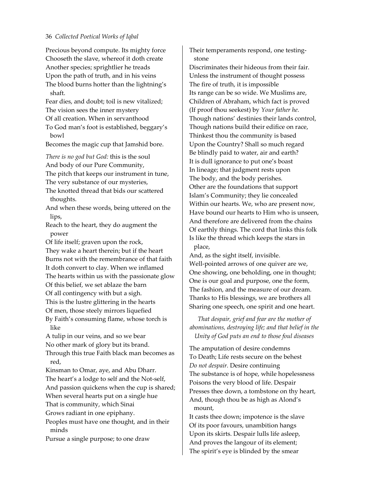Precious beyond compute. Its mighty force Chooseth the slave, whereof it doth create Another species; sprightlier he treads Upon the path of truth, and in his veins The blood burns hotter than the lightning's shaft.

Fear dies, and doubt; toil is new vitalized; The vision sees the inner mystery

Of all creation. When in servanthood

To God man's foot is established, beggary's bowl

Becomes the magic cup that Jamshid bore.

*There is no god but God:* this is the soul And body of our Pure Community,

The pitch that keeps our instrument in tune,

The very substance of our mysteries,

The knotted thread that bids our scattered thoughts.

And when these words, being uttered on the lips,

Reach to the heart, they do augment the power

Of life itself; graven upon the rock,

They wake a heart therein; but if the heart Burns not with the remembrance of that faith It doth convert to clay. When we inflamed The hearts within us with the passionate glow

Of this belief, we set ablaze the barn

Of all contingency with but a sigh.

This is the lustre glittering in the hearts Of men, those steely mirrors liquefied

By Faith's consuming flame, whose torch is like

A tulip in our veins, and so we bear

No other mark of glory but its brand.

Through this true Faith black man becomes as red,

Kinsman to Omar, aye, and Abu Dharr. The heart's a lodge to self and the Not-self, And passion quickens when the cup is shared;

When several hearts put on a single hue

That is community, which Sinai

Grows radiant in one epiphany.

Peoples must have one thought, and in their minds

Pursue a single purpose; to one draw

Their temperaments respond, one testingstone

Discriminates their hideous from their fair. Unless the instrument of thought possess The fire of truth, it is impossible Its range can be so wide. We Muslims are, Children of Abraham, which fact is proved (If proof thou seekest) by *Your father he.* Though nations' destinies their lands control, Though nations build their edifice on race, Thinkest thou the community is based Upon the Country? Shall so much regard Be blindly paid to water, air and earth? It is dull ignorance to put one's boast In lineage; that judgment rests upon The body, and the body perishes. Other are the foundations that support Islam's Community; they lie concealed Within our hearts. We, who are present now, Have bound our hearts to Him who is unseen, And therefore are delivered from the chains Of earthly things. The cord that links this folk Is like the thread which keeps the stars in place,

And, as the sight itself, invisible. Well-pointed arrows of one quiver are we, One showing, one beholding, one in thought; One is our goal and purpose, one the form, The fashion, and the measure of our dream. Thanks to His blessings, we are brothers all Sharing one speech, one spirit and one heart.

*That despair, grief and fear are the mother of abominations, destroying life; and that belief in the Unity of God puts an end to those foul diseases*

The amputation of desire condemns To Death; Life rests secure on the behest *Do not despair.* Desire continuing The substance is of hope, while hopelessness Poisons the very blood of life. Despair Presses thee down, a tombstone on thy heart, And, though thou be as high as Alond's mount,

It casts thee down; impotence is the slave Of its poor favours, unambition hangs Upon its skirts. Despair lulls life asleep, And proves the langour of its element; The spirit's eye is blinded by the smear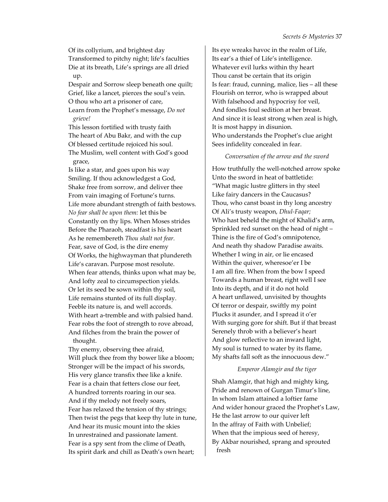Of its collyrium, and brightest day Transformed to pitchy night; life's faculties Die at its breath, Life's springs are all dried up.

Despair and Sorrow sleep beneath one quilt; Grief, like a lancet, pierces the soul's vein. O thou who art a prisoner of care, Learn from the Prophet's message, *Do not grieve!*

This lesson fortified with trusty faith The heart of Abu Bakr, and with the cup Of blessed certitude rejoiced his soul. The Muslim, well content with God's good grace,

Is like a star, and goes upon his way Smiling. If thou acknowledgest a God, Shake free from sorrow, and deliver thee From vain imaging of Fortune's turns. Life more abundant strength of faith bestows. *No fear shall be upon them:* let this be Constantly on thy lips. When Moses strides Before the Pharaoh, steadfast is his heart As he remembereth *Thou shalt not fear.* Fear, save of God, is the dire enemy Of Works, the highwayman that plundereth Life's caravan. Purpose most resolute. When fear attends, thinks upon what may be, And lofty zeal to circumspection yields. Or let its seed be sown within thy soil, Life remains stunted of its full display. Feeble its nature is, and well accords. With heart a-tremble and with palsied hand. Fear robs the foot of strength to rove abroad, And filches from the brain the power of thought.

Thy enemy, observing thee afraid, Will pluck thee from thy bower like a bloom; Stronger will be the impact of his swords, His very glance transfix thee like a knife. Fear is a chain that fetters close our feet, A hundred torrents roaring in our sea. And if thy melody not freely soars, Fear has relaxed the tension of thy strings; Then twist the pegs that keep thy lute in tune, And hear its music mount into the skies In unrestrained and passionate lament. Fear is a spy sent from the clime of Death, Its spirit dark and chill as Death's own heart;

Its eye wreaks havoc in the realm of Life, Its ear's a thief of Life's intelligence. Whatever evil lurks within thy heart Thou canst be certain that its origin Is fear: fraud, cunning, malice, lies – all these Flourish on terror, who is wrapped about With falsehood and hypocrisy for veil, And fondles foul sedition at her breast. And since it is least strong when zeal is high, It is most happy in disunion. Who understands the Prophet's clue aright Sees infidelity concealed in fear.

#### *Conversation of the arrow and the sword*

How truthfully the well-notched arrow spoke Unto the sword in heat of battletide: "What magic lustre glitters in thy steel Like fairy dancers in the Caucasus? Thou, who canst boast in thy long ancestry Of Ali's trusty weapon, *Dhul-Faqar;* Who hast beheld the might of Khalid's arm, Sprinkled red sunset on the head of night – Thine is the fire of God's omnipotence, And neath thy shadow Paradise awaits. Whether I wing in air, or lie encased Within the quiver, wheresoe'er I be I am all fire. When from the bow I speed Towards a human breast, right well I see Into its depth, and if it do not hold A heart unflawed, unvisited by thoughts Of terror or despair, swiftly my point Plucks it asunder, and I spread it o'er With surging gore for shift. But if that breast Serenely throb with a believer's heart And glow reflective to an inward light, My soul is turned to water by its flame, My shafts fall soft as the innocuous dew."

#### *Emperor Alamgir and the tiger*

Shah Alamgir, that high and mighty king, Pride and renown of Gurgan Timur's line, In whom Islam attained a loftier fame And wider honour graced the Prophet's Law, He the last arrow to our quiver left In the affray of Faith with Unbelief; When that the impious seed of heresy, By Akbar nourished, sprang and sprouted fresh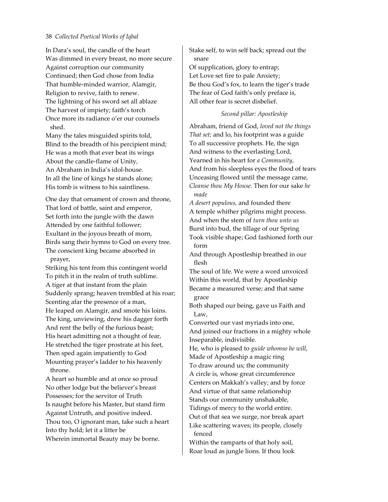In Dara's soul, the candle of the heart Was dimmed in every breast, no more secure Against corruption our community Continued; then God chose from India That humble-minded warrior, Alamgir, Religion to revive, faith to renew. The lightning of his sword set all ablaze The harvest of impiety; faith's torch Once more its radiance o'er our counsels shed.

Many the tales misguided spirits told, Blind to the breadth of his percipient mind; He was a moth that ever beat its wings About the candle-flame of Unity, An Abraham in India's idol-house. In all the line of kings he stands alone; His tomb is witness to his saintliness.

One day that ornament of crown and throne, That lord of battle, saint and emperor, Set forth into the jungle with the dawn Attended by one faithful follower; Exultant in the joyous breath of morn, Birds sang their hymns to God on every tree. The conscient king became absorbed in prayer,

Striking his tent from this contingent world To pitch it in the realm of truth sublime. A tiger at that instant from the plain Suddenly sprang; heaven trembled at his roar; Scenting afar the presence of a man, He leaped on Alamgir, and smote his loins. The king, unviewing, drew his dagger forth And rent the belly of the furious beast; His heart admitting not a thought of fear, He stretched the tiger prostrate at his feet, Then sped again impatiently to God Mounting prayer's ladder to his heavenly throne.

A heart so humble and at once so proud No other lodge but the believer's breast Possesses; for the servitor of Truth Is naught before his Master, but stand firm Against Untruth, and positive indeed. Thou too, O ignorant man, take such a heart Into thy hold; let it a litter be Wherein immortal Beauty may be borne.

Stake self, to win self back; spread out the snare

Of supplication, glory to entrap; Let Love set fire to pale Anxiety; Be thou God's fox, to learn the tiger's trade The fear of God faith's only preface is, All other fear is secret disbelief.

#### *Second pillar: Apostleship*

Abraham, friend of God, *loved not the things That set;* and lo, his footprint was a guide To all successive prophets. He, the sign And witness to the everlasting Lord, Yearned in his heart for *a Community,* And from his sleepless eyes the flood of tears Unceasing flowed until the message came, *Cleanse thou My House.* Then for our sake *he made*

*A desert populous,* and founded there A temple whither pilgrims might process. And when the stem of *turn thou unto us* Burst into bud, the tillage of our Spring Took visible shape; God fashioned forth our form

And through Apostleship breathed in our flesh

The soul of life. We were a word unvoiced Within this world, that by Apostleship Became a measured verse; and that same grace

Both shaped our being, gave us Faith and Law,

Converted our vast myriads into one, And joined our fractions in a mighty whole Inseparable, indivisible.

He, who is pleased to *guide whomso he will,* Made of Apostleship a magic ring To draw around us; the community

A circle is, whose great circumference Centers on Makkah's valley; and by force And virtue of that same relationship

Stands our community unshakable,

Tidings of mercy to the world entire.

Out of that sea we surge, nor break apart Like scattering waves; its people, closely fenced

Within the ramparts of that holy soil, Roar loud as jungle lions. If thou look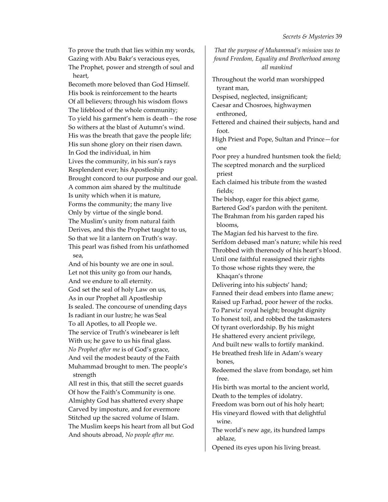To prove the truth that lies within my words, Gazing with Abu Bakr's veracious eyes, The Prophet, power and strength of soul and heart,

Becometh more beloved than God Himself. His book is reinforcement to the hearts Of all believers; through his wisdom flows The lifeblood of the whole community; To yield his garment's hem is death – the rose So withers at the blast of Autumn's wind. His was the breath that gave the people life; His sun shone glory on their risen dawn. In God the individual, in him Lives the community, in his sun's rays Resplendent ever; his Apostleship Brought concord to our purpose and our goal. A common aim shared by the multitude Is unity which when it is mature, Forms the community; the many live Only by virtue of the single bond. The Muslim's unity from natural faith Derives, and this the Prophet taught to us, So that we lit a lantern on Truth's way. This pearl was fished from his unfathomed sea,

And of his bounty we are one in soul. Let not this unity go from our hands, And we endure to all eternity. God set the seal of holy Law on us, As in our Prophet all Apostleship Is sealed. The concourse of unending days Is radiant in our lustre; he was Seal To all Apotles, to all People we. The service of Truth's winebearer is left With us; he gave to us his final glass. *No Prophet after me* is of God's grace, And veil the modest beauty of the Faith Muhammad brought to men. The people's strength

All rest in this, that still the secret guards Of how the Faith's Community is one. Almighty God has shattered every shape Carved by imposture, and for evermore Stitched up the sacred volume of Islam. The Muslim keeps his heart from all but God And shouts abroad, *No people after me.*

*That the purpose of Muhammad's mission was to found Freedom, Equality and Brotherhood among all mankind*

Throughout the world man worshipped tyrant man, Despised, neglected, insignificant; Caesar and Chosroes, highwaymen enthroned, Fettered and chained their subjects, hand and foot. High Priest and Pope, Sultan and Prince—for one Poor prey a hundred huntsmen took the field; The sceptred monarch and the surpliced priest Each claimed his tribute from the wasted fields; The bishop, eager for this abject game, Bartered God's pardon with the penitent. The Brahman from his garden raped his blooms, The Magian fed his harvest to the fire. Serfdom debased man's nature; while his reed Throbbed with therenody of his heart's blood. Until one faithful reassigned their rights To those whose rights they were, the Khaqan's throne Delivering into his subjects' hand; Fanned their dead embers into flame anew; Raised up Farhad, poor hewer of the rocks. To Parwiz' royal height; brought dignity To honest toil, and robbed the taskmasters Of tyrant overlordship. By his might He shattered every ancient privilege, And built new walls to fortify mankind. He breathed fresh life in Adam's weary bones,

Redeemed the slave from bondage, set him free.

His birth was mortal to the ancient world, Death to the temples of idolatry.

Freedom was born out of his holy heart; His vineyard flowed with that delightful wine.

The world's new age, its hundred lamps ablaze,

Opened its eyes upon his living breast.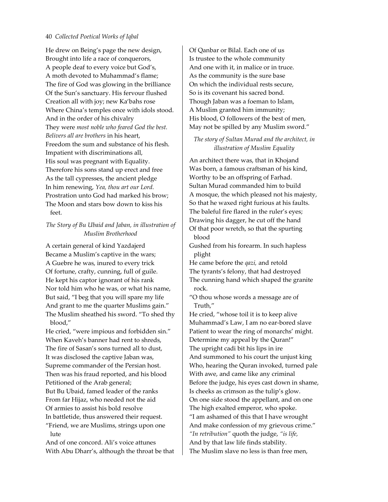He drew on Being's page the new design, Brought into life a race of conquerors, A people deaf to every voice but God's, A moth devoted to Muhammad's flame; The fire of God was glowing in the brilliance Of the Sun's sanctuary. His fervour flushed Creation all with joy; new Ka'bahs rose Where China's temples once with idols stood. And in the order of his chivalry They were *most noble who feared God the best. Belivers all are brothers* in his heart, Freedom the sum and substance of his flesh. Impatient with discriminations all, His soul was pregnant with Equality. Therefore his sons stand up erect and free As the tall cypresses, the ancient pledge In him renewing, *Yea, thou art our Lord.* Prostration unto God had marked his brow; The Moon and stars bow down to kiss his feet.

#### *The Story of Bu Ubaid and Jaban, in illustration of Muslim Brotherhood*

A certain general of kind Yazdajerd Became a Muslim's captive in the wars; A Guebre he was, inured to every trick Of fortune, crafty, cunning, full of guile. He kept his captor ignorant of his rank Nor told him who he was, or what his name, But said, "I beg that you will spare my life And grant to me the quarter Muslims gain." The Muslim sheathed his sword. "To shed thy blood,"

He cried, "were impious and forbidden sin." When Kaveh's banner had rent to shreds, The fire of Sasan's sons turned all to dust, It was disclosed the captive Jaban was, Supreme commander of the Persian host. Then was his fraud reported, and his blood Petitioned of the Arab general; But Bu Ubaid, famed leader of the ranks From far Hijaz, who needed not the aid Of armies to assist his bold resolve In battletide, thus answered their request. "Friend, we are Muslims, strings upon one lute

And of one concord. Ali's voice attunes With Abu Dharr's, although the throat be that Of Qanbar or Bilal. Each one of us Is trustee to the whole community And one with it, in malice or in truce. As the community is the sure base On which the individual rests secure, So is its covenant his sacred bond. Though Jaban was a foeman to Islam, A Muslim granted him immunity; His blood, O followers of the best of men, May not be spilled by any Muslim sword."

#### *The story of Sultan Murad and the architect, in illustration of Muslim Equality*

An architect there was, that in Khojand Was born, a famous craftsman of his kind, Worthy to be an offspring of Farhad. Sultan Murad commanded him to build A mosque, the which pleased not his majesty, So that he waxed right furious at his faults. The baleful fire flared in the ruler's eyes; Drawing his dagger, he cut off the hand Of that poor wretch, so that the spurting blood

Gushed from his forearm. In such hapless plight

He came before the *qazi,* and retold The tyrants's felony, that had destroyed The cunning hand which shaped the granite rock.

"O thou whose words a message are of Truth,"

He cried, "whose toil it is to keep alive Muhammad's Law, I am no ear-bored slave Patient to wear the ring of monarchs' might. Determine my appeal by the Quran!" The upright cadi bit his lips in ire And summoned to his court the unjust king Who, hearing the Quran invoked, turned pale With awe, and came like any criminal Before the judge, his eyes cast down in shame, Is cheeks as crimson as the tulip's glow. On one side stood the appellant, and on one The high exalted emperor, who spoke. "I am ashamed of this that I have wrought And make confession of my grievous crime." *"In retribution"* quoth the judge, *"is life,* And by that law life finds stability. The Muslim slave no less is than free men,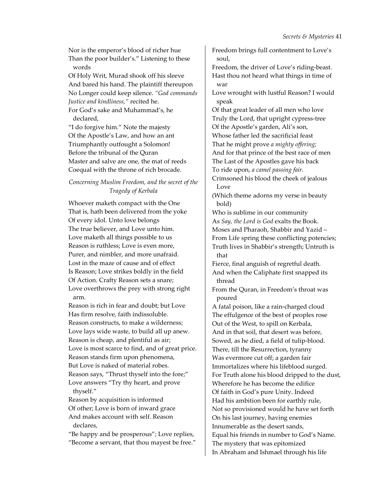Nor is the emperor's blood of richer hue Than the poor builder's." Listening to these words

Of Holy Writ, Murad shook off his sleeve And bared his hand. The plaintiff thereupon No Longer could keep silence. *"God commands Justice and kindliness,"* recited he.

For God's sake and Muhammad's, he declared,

"I do forgive him." Note the majesty Of the Apostle's Law, and how an ant Triumphantly outfought a Solomon! Before the tribunal of the Quran Master and salve are one, the mat of reeds Coequal with the throne of rich brocade.

#### *Concerning Muslim Freedom, and the secret of the Tragedy of Kerbala*

Whoever maketh compact with the One That is, hath been delivered from the yoke Of every idol. Unto love belongs The true believer, and Love unto him. Love maketh all things possible to us Reason is ruthless; Love is even more, Purer, and nimbler, and more unafraid. Lost in the maze of cause and of effect Is Reason; Love strikes boldly in the field Of Action. Crafty Reason sets a snare; Love overthrows the prey with strong right arm.

Reason is rich in fear and doubt; but Love Has firm resolve, faith indissoluble. Reason constructs, to make a wilderness; Love lays wide waste, to build all up anew. Reason is cheap, and plentiful as air; Love is most scarce to find, and of great price. Reason stands firm upon phenomena, But Love is naked of material robes. Reason says, "Thrust thyself into the fore;" Love answers "Try thy heart, and prove thyself."

Reason by acquisition is informed Of other; Love is born of inward grace And makes account with self. Reason declares,

"Be happy and be prosperous"; Love replies, "Become a servant, that thou mayest be free." Freedom brings full contentment to Love's soul,

Freedom, the driver of Love's riding-beast. Hast thou not heard what things in time of war

Love wrought with lustful Reason? I would speak

Of that great leader of all men who love Truly the Lord, that upright cypress-tree Of the Apostle's garden, Ali's son, Whose father led the sacrificial feast That he might prove *a mighty offering;* And for that prince of the best race of men The Last of the Apostles gave his back To ride upon, *a camel passing fair.*

Crimsoned his blood the cheek of jealous Love

(Which theme adorns my verse in beauty bold)

Who is sublime in our community As *Say, the Lord is God* exalts the Book. Moses and Pharaoh, Shabbir and Yazid – From Life spring these conflicting potencies; Truth lives in Shabbir's strength; Untruth is that

Fierce, final anguish of regretful death. And when the Caliphate first snapped its thread

From the Quran, in Freedom's throat was poured

A fatal poison, like a rain-charged cloud The effulgence of the best of peoples rose Out of the West, to spill on Kerbala, And in that soil, that desert was before, Sowed, as he died, a field of tulip-blood. There, till the Resurrection, tyranny Was evermore cut off; a garden fair Immortalizes where his lifeblood surged. For Truth alone his blood dripped to the dust, Wherefore he has become the edifice Of faith in God's pure Unity. Indeed Had his ambition been for earthly rule, Not so provisioned would he have set forth On his last journey, having enemies Innumerable as the desert sands, Equal his friends in number to God's Name. The mystery that was epitomized In Abraham and Ishmael through his life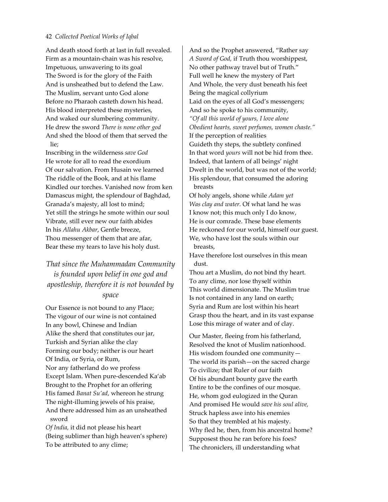And death stood forth at last in full revealed. Firm as a mountain-chain was his resolve, Impetuous, unwavering to its goal The Sword is for the glory of the Faith And is unsheathed but to defend the Law. The Muslim, servant unto God alone Before no Pharaoh casteth down his head. His blood interpreted these mysteries, And waked our slumbering community. He drew the sword *There is none other god* And shed the blood of them that served the lie;

Inscribing in the wilderness *save God* He wrote for all to read the exordium Of our salvation. From Husain we learned The riddle of the Book, and at his flame Kindled our torches. Vanished now from ken Damascus might, the splendour of Baghdad, Granada's majesty, all lost to mind; Yet still the strings he smote within our soul Vibrate, still ever new our faith abides In his *Allahu Akbar*, Gentle breeze, Thou messenger of them that are afar, Bear these my tears to lave his holy dust.

### *That since the Muhammadan Community is founded upon belief in one god and apostleship, therefore it is not bounded by space*

Our Essence is not bound to any Place; The vigour of our wine is not contained In any bowl, Chinese and Indian Alike the sherd that constitutes our jar, Turkish and Syrian alike the clay Forming our body; neither is our heart Of India, or Syria, or Rum, Nor any fatherland do we profess Except Islam. When pure-descended Ka'ab Brought to the Prophet for an offering His famed *Banat Su'ad,* whereon he strung The night-illuming jewels of his praise, And there addressed him as an unsheathed sword

*Of India,* it did not please his heart (Being sublimer than high heaven's sphere) To be attributed to any clime;

And so the Prophet answered, "Rather say *A Sword of God,* if Truth thou worshippest, No other pathway travel but of Truth." Full well he knew the mystery of Part And Whole, the very dust beneath his feet Being the magical collyrium Laid on the eyes of all God's messengers; And so he spoke to his community, *"Of all this world of yours, I love alone Obedient hearts, sweet perfumes, women chaste."* If the perception of realities Guideth thy steps, the subtlety confined In that word *yours* will not be hid from thee. Indeed, that lantern of all beings' night Dwelt in the world, but was not of the world; His splendour, that consumed the adoring breasts

Of holy angels, shone while *Adam yet Was clay and water.* Of what land he was I know not; this much only I do know, He is our comrade. These base elements He reckoned for our world, himself our guest. We, who have lost the souls within our breasts,

Have therefore lost ourselves in this mean dust.

Thou art a Muslim, do not bind thy heart. To any clime, nor lose thyself within This world dimensionate. The Muslim true Is not contained in any land on earth; Syria and Rum are lost within his heart Grasp thou the heart, and in its vast expanse Lose this mirage of water and of clay.

Our Master, fleeing from his fatherland, Resolved the knot of Muslim nationhood. His wisdom founded one community— The world its parish—on the sacred charge To civilize; that Ruler of our faith Of his abundant bounty gave the earth Entire to be the confines of our mosque. He, whom god eulogized in the Quran And promised He would *save his soul alive,* Struck hapless awe into his enemies So that they trembled at his majesty. Why fled he, then, from his ancestral home? Supposest thou he ran before his foes? The chroniclers, ill understanding what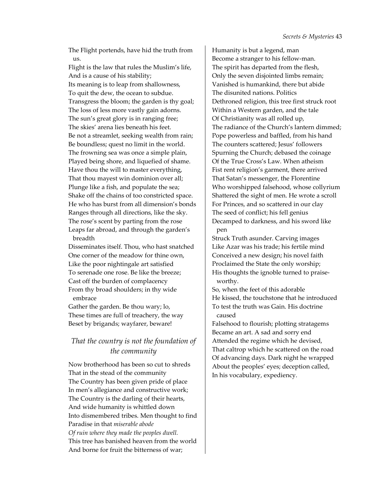The Flight portends, have hid the truth from us.

Flight is the law that rules the Muslim's life, And is a cause of his stability; Its meaning is to leap from shallowness, To quit the dew, the ocean to subdue. Transgress the bloom; the garden is thy goal; The loss of less more vastly gain adorns. The sun's great glory is in ranging free; The skies' arena lies beneath his feet. Be not a streamlet, seeking wealth from rain; Be boundless; quest no limit in the world. The frowning sea was once a simple plain, Played being shore, and liquefied of shame. Have thou the will to master everything, That thou mayest win dominion over all; Plunge like a fish, and populate the sea; Shake off the chains of too constricted space. He who has burst from all dimension's bonds Ranges through all directions, like the sky. The rose's scent by parting from the rose Leaps far abroad, and through the garden's breadth

Disseminates itself. Thou, who hast snatched One corner of the meadow for thine own, Like the poor nightingale art satisfied To serenade one rose. Be like the breeze; Cast off the burden of complacency From thy broad shoulders; in thy wide embrace

Gather the garden. Be thou wary; lo, These times are full of treachery, the way Beset by brigands; wayfarer, beware!

### *That the country is not the foundation of the community*

Now brotherhood has been so cut to shreds That in the stead of the community The Country has been given pride of place In men's allegiance and constructive work; The Country is the darling of their hearts, And wide humanity is whittled down Into dismembered tribes. Men thought to find Paradise in that *miserable abode Of ruin where they made the peoples dwell.* This tree has banished heaven from the world And borne for fruit the bitterness of war;

Humanity is but a legend, man Become a stranger to his fellow-man. The spirit has departed from the flesh, Only the seven disjointed limbs remain; Vanished is humankind, there but abide The disunited nations. Politics Dethroned religion, this tree first struck root Within a Western garden, and the tale Of Christianity was all rolled up, The radiance of the Church's lantern dimmed; Pope powerless and baffled, from his hand The counters scattered; Jesus' followers Spurning the Church; debased the coinage Of the True Cross's Law. When atheism Fist rent religion's garment, there arrived That Satan's messenger, the Florentine Who worshipped falsehood, whose collyrium Shattered the sight of men. He wrote a scroll For Princes, and so scattered in our clay The seed of conflict; his fell genius Decamped to darkness, and his sword like pen

Struck Truth asunder. Carving images Like Azar was his trade; his fertile mind Conceived a new design; his novel faith Proclaimed the State the only worship; His thoughts the ignoble turned to praiseworthy.

So, when the feet of this adorable He kissed, the touchstone that he introduced To test the truth was Gain. His doctrine caused

Falsehood to flourish; plotting stratagems Became an art. A sad and sorry end Attended the regime which he devised, That caltrop which he scattered on the road Of advancing days. Dark night he wrapped About the peoples' eyes; deception called, In his vocabulary, expediency.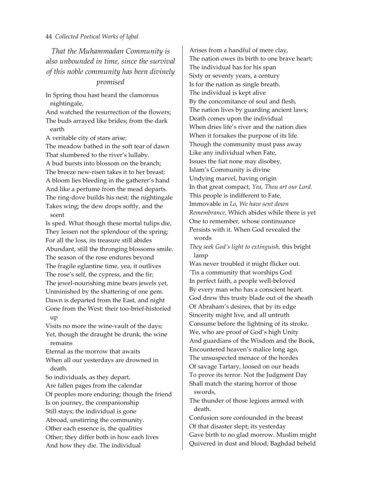*That the Muhammadan Community is also unbounded in time, since the survival of this noble community has been divinely promised*

In Spring thou hast heard the clamorous nightingale,

And watched the resurrection of the flowers; The buds arrayed like brides; from the dark earth

A veritable city of stars arise;

The meadow bathed in the soft tear of dawn That slumbered to the river's lullaby. A bud bursts into blossom on the branch; The breeze new-risen takes it to her breast; A bloom lies bleeding in the gatherer's hand And like a perfume from the mead departs. The ring-dove builds his nest; the nightingale Takes wing; the dew drops softly, and the scent

Is sped. What though these mortal tulips die, They lessen not the splendour of the spring: For all the loss, its treasure still abides Abundant, still the thronging blossoms smile. The season of the rose endures beyond The fragile eglantine time, yea, it outlives The rose's self, the cypress, and the fir; The jewel-nourishing mine bears jewels yet, Unminished by the shattering of one gem. Dawn is departed from the East, and night Gone from the West: their too-brief-historied up

Visits no more the wine-vault of the days;

Yet, though the draught be drunk, the wine remains

Eternal as the morrow that awaits

When all our yesterdays are drowned in death.

So individuals, as they depart, Are fallen pages from the calendar Of peoples more enduring: though the friend Is on journey, the companionship Still stays; the individual is gone Abroad, unstirring the community. Other each essence is, the qualities Other; they differ both in how each lives And how they die. The individual

Arises from a handful of mere clay, The nation owes its birth to one brave heart; The individual has for his span Sixty or seventy years, a century Is for the nation as single breath. The individual is kept alive By the concomitance of soul and flesh, The nation lives by guarding ancient laws; Death comes upon the individual When dries life's river and the nation dies When it forsakes the purpose of its life. Though the community must pass away Like any individual when Fate, Issues the fiat none may disobey, Islam's Community is divine Undying marvel, having origin In that great compact, *Yea, Thou art our Lord.* This people is indifferent to Fate, Immovable in *Lo, We have sent down Remembrance*, Which abides while there is yet One to remember, whose continuance Persists with it. When God revealed the words

*They seek God's light to extinguish,* this bright lamp

Was never troubled it might flicker out. 'Tis a community that worships God In perfect faith, a people well-beloved By every man who has a conscient heart. God drew this trusty blade out of the sheath Of Abraham's desires, that by its edge Sincerity might live, and all untruth Consume before the lightning of its stroke. We, who are proof of God's high Unity And guardians of the Wisdom and the Book, Encountered heaven's malice long ago, The unsuspected menace of the hordes Of savage Tartary, loosed on our heads To prove its terror. Not the Judgment Day Shall match the staring horror of those swords,

The thunder of those legions armed with death.

Confusion sore confounded in the breast Of that disaster slept; its yesterday Gave birth to no glad morrow. Muslim might Quivered in dust and blood; Baghdad beheld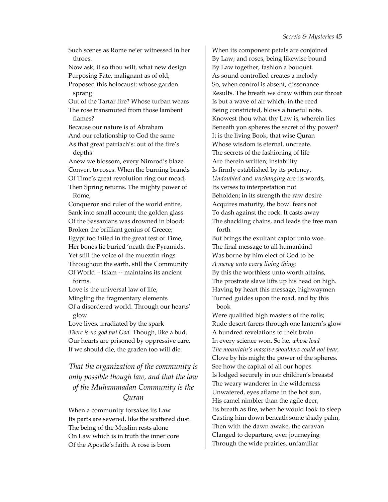Such scenes as Rome ne'er witnessed in her throes.

Now ask, if so thou wilt, what new design Purposing Fate, malignant as of old,

Proposed this holocaust; whose garden sprang

Out of the Tartar fire? Whose turban wears The rose transmuted from those lambent flames?

Because our nature is of Abraham And our relationship to God the same As that great patriach's: out of the fire's depths

Anew we blossom, every Nimrod's blaze Convert to roses. When the burning brands Of Time's great revolution ring our mead, Then Spring returns. The mighty power of Rome,

Conqueror and ruler of the world entire, Sank into small account; the golden glass Of the Sassanians was drowned in blood; Broken the brilliant genius of Greece; Egypt too failed in the great test of Time, Her bones lie buried 'neath the Pyramids. Yet still the voice of the muezzin rings Throughout the earth, still the Community Of World – Islam -- maintains its ancient forms.

Love is the universal law of life, Mingling the fragmentary elements Of a disordered world. Through our hearts' glow

Love lives, irradiated by the spark *There is no god but God.* Though, like a bud, Our hearts are prisoned by oppressive care, If we should die, the graden too will die.

*That the organization of the community is only possible though law, and that the law of the Muhammadan Community is the Quran*

When a community forsakes its Law Its parts are severed, like the scattered dust. The being of the Muslim rests alone On Law which is in truth the inner core Of the Apostle's faith. A rose is born

When its component petals are conjoined By Law; and roses, being likewise bound By Law together, fashion a bouquet. As sound controlled creates a melody So, when control is absent, dissonance Results. The breath we draw within our throat Is but a wave of air which, in the reed Being constricted, blows a tuneful note. Knowest thou what thy Law is, wherein lies Beneath yon spheres the secret of thy power? It is the living Book, that wise Quran Whose wisdom is eternal, uncreate. The secrets of the fashioning of life Are therein written; instability Is firmly established by its potency. *Undoubted* and *unchanging* are its words, Its verses to interpretation not Beholden; in its strength the raw desire Acquires maturity, the bowl fears not To dash against the rock. It casts away The shackling chains, and leads the free man forth

But brings the exultant captor unto woe. The final message to all humankind Was borne by him elect of God to be *A mercy unto every living thing;* By this the worthless unto worth attains, The prostrate slave lifts up his head on high. Having by heart this message, highwaymen Turned guides upon the road, and by this book

Were qualified high masters of the rolls; Rude desert-farers through one lantern's glow A hundred revelations to their brain In every science won. So he, *whose load The mountain's massive shoulders could not bear,* Clove by his might the power of the spheres. See how the capital of all our hopes Is lodged securely in our children's breasts! The weary wanderer in the wilderness Unwatered, eyes aflame in the hot sun, His camel nimbler than the agile deer, Its breath as fire, when he would look to sleep Casting him down bencath some shady palm, Then with the dawn awake, the caravan Clanged to departure, ever journeying Through the wide prairies, unfamiliar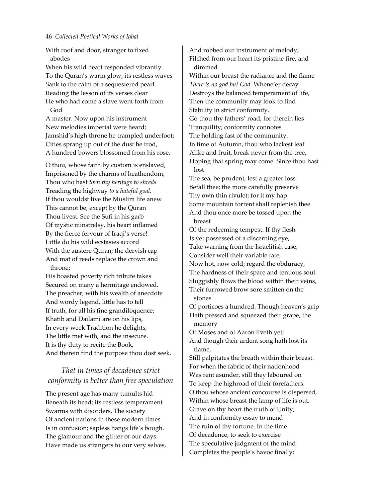With roof and door, stranger to fixed abodes—

When his wild heart responded vibrantly To the Quran's warm glow, its restless waves Sank to the calm of a sequestered pearl. Reading the lesson of its verses clear He who had come a slave went forth from God

A master. Now upon his instrument New melodies imperial were heard; Jamshid's high throne he trampled underfoot; Cities sprang up out of the dust he trod, A hundred bowers blossomed from his rose.

O thou, whose faith by custom is enslaved, Imprisoned by the charms of heathendom, Thou who hast *torn thy heritage to shreds* Treading the highway *to a hateful goal,* If thou wouldst live the Muslim life anew This cannot be, except by the Quran Thou livest. See the Sufi in his garb Of mystic minstrelsy, his heart inflamed By the fierce fervour of Iraqi's verse! Little do his wild ecstasies accord With the austere Quran; the dervish cap And mat of reeds replace the crown and throne;

His boasted poverty rich tribute takes Secured on many a hermitage endowed. The preacher, with his wealth of anecdote And wordy legend, little has to tell If truth, for all his fine grandiloquence; Khatib and Dailami are on his lips, In every week Tradition he delights, The little met with, and the insecure. It is thy duty to recite the Book, And therein find the purpose thou dost seek.

### *That in times of decadence strict conformity is better than free speculation*

The present age has many tumults hid Beneath its head; its restless temperament Swarms with disorders. The society Of ancient nations in these modern times Is in confusion; sapless hangs life's bough. The glamour and the glitter of our days Have made us strangers to our very selves, And robbed our instrument of melody; Filched from our heart its pristine fire, and dimmed Within our breast the radiance and the flame *There is no god but God.* Whene'er decay Destroys the balanced temperament of life, Then the community may look to find Stability in strict conformity. Go thou thy fathers' road, for therein lies Tranquility; conformity connotes The holding fast of the community. In time of Autumn, thou who lackest leaf Alike and fruit, break never from the tree, Hoping that spring may come. Since thou hast lost The sea, be prudent, lest a greater loss

Befall thee; the more carefully preserve Thy own thin rivulet; for it my hap Some mountain torrent shall replenish thee And thou once more be tossed upon the breast

Of the redeeming tempest. If thy flesh Is yet possessed of a discerning eye, Take warning from the Israelitish case; Consider well their variable fate, Now hot, now cold; regard the obduracy, The hardness of their spare and tenuous soul. Sluggishly flows the blood within their veins, Their furrowed brow sore smitten on the stones

Of porticoes a hundred. Though heaven's grip Hath pressed and squeezed their grape, the memory

Of Moses and of Aaron liveth yet;

And though their ardent song hath lost its flame,

Still palpitates the breath within their breast. For when the fabric of their nationhood Was rent asunder, still they laboured on To keep the highroad of their forefathers. O thou whose ancient concourse is dispersed, Within whose breast the lamp of life is out, Grave on thy heart the truth of Unity, And in conformity essay to mend The ruin of thy fortune. In the time Of decadence, to seek to exercise The speculative judgment of the mind Completes the people's havoc finally;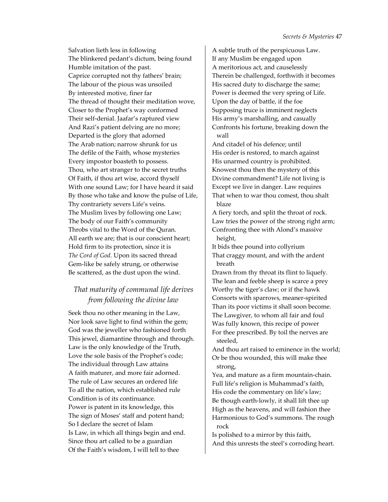Salvation lieth less in following The blinkered pedant's dictum, being found Humble imitation of the past. Caprice corrupted not thy fathers' brain; The labour of the pious was unsoiled By interested motive, finer far The thread of thought their meditation wove, Closer to the Prophet's way conformed Their self-denial. Jaafar's raptured view And Razi's patient delving are no more; Departed is the glory that adorned The Arab nation; narrow shrunk for us The defile of the Faith, whose mysteries Every impostor boasteth to possess. Thou, who art stranger to the secret truths Of Faith, if thou art wise, accord thyself With one sound Law; for I have heard it said By those who take and know the pulse of Life, Thy contrariety severs Life's veins. The Muslim lives by following one Law; The body of our Faith's community Throbs vital to the Word of the Quran. All earth we are; that is our conscient heart; Hold firm to its protection, since it is *The Cord of God.* Upon its sacred thread Gem-like be safely strung, or otherwise Be scattered, as the dust upon the wind.

### *That maturity of communal life derives from following the divine law*

Seek thou no other meaning in the Law, Nor look save light to find within the gem; God was the jeweller who fashioned forth This jewel, diamantine through and through. Law is the only knowledge of the Truth, Love the sole basis of the Prophet's code; The individual through Law attains A faith maturer, and more fair adorned. The rule of Law secures an ordered life To all the nation, which established rule Condition is of its continuance. Power is patent in its knowledge, this The sign of Moses' staff and potent hand; So I declare the secret of Islam Is Law, in which all things begin and end. Since thou art called to be a guardian Of the Faith's wisdom, I will tell to thee

A subtle truth of the perspicuous Law. If any Muslim be engaged upon A meritorious act, and causelessly Therein be challenged, forthwith it becomes His sacred duty to discharge the same; Power is deemed the very spring of Life. Upon the day of battle, if the foe Supposing truce is imminent neglects His army's marshalling, and casually Confronts his fortune, breaking down the wall

And citadel of his defence; until His order is restored, to march against His unarmed country is prohibited. Knowest thou then the mystery of this Divine commandment? Life not living is Except we live in danger. Law requires That when to war thou comest, thou shalt blaze

A fiery torch, and split the throat of rock. Law tries the power of the strong right arm; Confronting thee with Alond's massive height,

It bids thee pound into collyrium That craggy mount, and with the ardent breath

Drawn from thy throat its flint to liquefy. The lean and feeble sheep is scarce a prey Worthy the tiger's claw; or if the hawk Consorts with sparrows, meaner-spirited Than its poor victims it shall soon become. The Lawgiver, to whom all fair and foul Was fully known, this recipe of power For thee prescribed. By toil the nerves are steeled,

And thou art raised to eminence in the world; Or be thou wounded, this will make thee strong,

Yea, and mature as a firm mountain-chain. Full life's religion is Muhammad's faith, His code the commentary on life's law; Be though earth-lowly, it shall lift thee up High as the heavens, and will fashion thee Harmonious to God's summons. The rough rock

Is polished to a mirror by this faith, And this unrests the steel's corroding heart.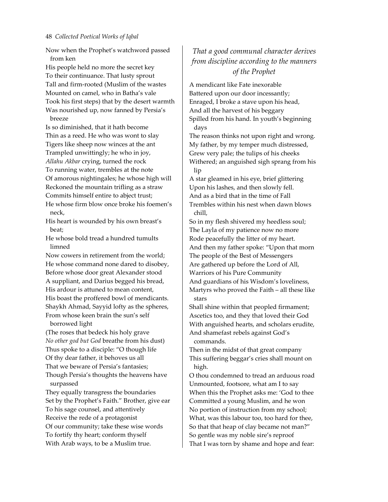Now when the Prophet's watchword passed from ken His people held no more the secret key To their continuance. That lusty sprout

Tall and firm-rooted (Muslim of the wastes Mounted on camel, who in Batha's vale Took his first steps) that by the desert warmth Was nourished up, now fanned by Persia's

breeze Is so diminished, that it hath become Thin as a reed. He who was wont to slay Tigers like sheep now winces at the ant Trampled unwittingly; he who in joy, *Allahu Akbar* crying, turned the rock To running water, trembles at the note Of amorous nightingales; he whose high will Reckoned the mountain trifling as a straw Commits himself entire to abject trust; He whose firm blow once broke his foemen's neck,

His heart is wounded by his own breast's beat;

He whose bold tread a hundred tumults limned

Now cowers in retirement from the world; He whose command none dared to disobey, Before whose door great Alexander stood A suppliant, and Darius begged his bread, His ardour is attuned to mean content, His boast the proffered bowl of mendicants. Shaykh Ahmad, Sayyid lofty as the spheres, From whose keen brain the sun's self

borrowed light

(The roses that bedeck his holy grave *No other god but God* breathe from his dust) Thus spoke to a disciple: "O though life Of thy dear father, it behoves us all

That we beware of Persia's fantasies;

Though Persia's thoughts the heavens have surpassed

They equally transgress the boundaries Set by the Prophet's Faith." Brother, give ear To his sage counsel, and attentively Receive the rede of a protagonist Of our community; take these wise words To fortify thy heart; conform thyself With Arab ways, to be a Muslim true.

### *That a good communal character derives from discipline according to the manners of the Prophet*

A mendicant like Fate inexorable Battered upon our door incessantly; Enraged, I broke a stave upon his head, And all the harvest of his beggary Spilled from his hand. In youth's beginning days

The reason thinks not upon right and wrong. My father, by my temper much distressed, Grew very pale; the tulips of his cheeks Withered; an anguished sigh sprang from his lip

A star gleamed in his eye, brief glittering Upon his lashes, and then slowly fell. And as a bird that in the time of Fall Trembles within his nest when dawn blows chill,

So in my flesh shivered my heedless soul; The Layla of my patience now no more Rode peacefully the litter of my heart. And then my father spoke: "Upon that morn The people of the Best of Messengers Are gathered up before the Lord of All, Warriors of his Pure Community And guardians of his Wisdom's loveliness, Martyrs who proved the Faith – all these like stars

Shall shine within that peopled firmament; Ascetics too, and they that loved their God With anguished hearts, and scholars erudite, And shamefast rebels against God's commands.

Then in the midst of that great company This suffering beggar's cries shall mount on high.

O thou condemned to tread an arduous road Unmounted, footsore, what am I to say When this the Prophet asks me: 'God to thee Committed a young Muslim, and he won No portion of instruction from my school; What, was this labour too, too hard for thee, So that that heap of clay became not man?" So gentle was my noble sire's reproof That I was torn by shame and hope and fear: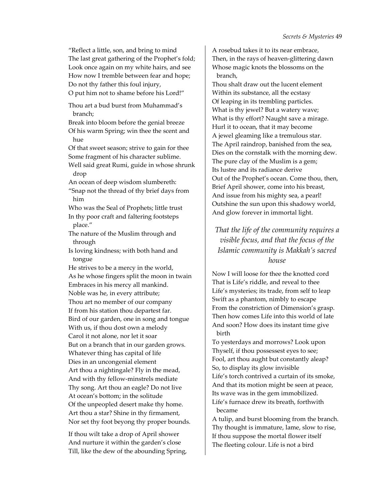"Reflect a little, son, and bring to mind The last great gathering of the Prophet's fold; Look once again on my white hairs, and see How now I tremble between fear and hope; Do not thy father this foul injury,

O put him not to shame before his Lord!"

Thou art a bud burst from Muhammad's branch;

Break into bloom before the genial breeze Of his warm Spring; win thee the scent and hue

Of that sweet season; strive to gain for thee Some fragment of his character sublime.

Well said great Rumi, guide in whose shrunk drop

An ocean of deep wisdom slumbereth:

"Snap not the thread of thy brief days from him

Who was the Seal of Prophets; little trust In thy poor craft and faltering footsteps place."

The nature of the Muslim through and through

Is loving kindness; with both hand and tongue

He strives to be a mercy in the world, As he whose fingers split the moon in twain Embraces in his mercy all mankind. Noble was he, in every attribute; Thou art no member of our company If from his station thou departest far. Bird of our garden, one in song and tongue With us, if thou dost own a melody Carol it not alone, nor let it soar But on a branch that in our garden grows. Whatever thing has capital of life Dies in an uncongenial element Art thou a nightingale? Fly in the mead, And with thy fellow-minstrels mediate Thy song. Art thou an eagle? Do not live At ocean's bottom; in the solitude Of the unpeopled desert make thy home. Art thou a star? Shine in thy firmament, Nor set thy foot beyong thy proper bounds.

If thou wilt take a drop of April shower And nurture it within the garden's close Till, like the dew of the abounding Spring, A rosebud takes it to its near embrace, Then, in the rays of heaven-glittering dawn Whose magic knots the blossoms on the branch,

Thou shalt draw out the lucent element Within its substance, all the ecstasy Of leaping in its trembling particles. What is thy jewel? But a watery wave; What is thy effort? Naught save a mirage. Hurl it to ocean, that it may become A jewel gleaming like a tremulous star. The April raindrop, banished from the sea, Dies on the cornstalk with the morning dew. The pure clay of the Muslim is a gem; Its lustre and its radiance derive Out of the Prophet's ocean. Come thou, then, Brief April shower, come into his breast, And issue from his mighty sea, a pearl! Outshine the sun upon this shadowy world, And glow forever in immortal light.

*That the life of the community requires a visible focus, and that the focus of the Islamic community is Makkah's sacred house*

Now I will loose for thee the knotted cord That is Life's riddle, and reveal to thee Life's mysteries; its trade, from self to leap Swift as a phantom, nimbly to escape From the constriction of Dimension's grasp. Then how comes Life into this world of late And soon? How does its instant time give birth

To yesterdays and morrows? Look upon Thyself, if thou possessest eyes to see; Fool, art thou aught but constantly aleap? So, to display its glow invisible Life's torch contrived a curtain of its smoke, And that its motion might be seen at peace, Its wave was in the gem immobilized. Life's furnace drew its breath, forthwith became

A tulip, and burst blooming from the branch. Thy thought is immature, lame, slow to rise, If thou suppose the mortal flower itself The fleeting colour. Life is not a bird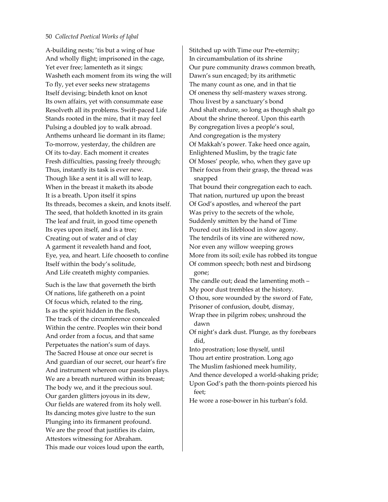A-building nests; 'tis but a wing of hue And wholly flight; imprisoned in the cage, Yet ever free; lamenteth as it sings; Washeth each moment from its wing the will To fly, yet ever seeks new stratagems Itself devising; bindeth knot on knot Its own affairs, yet with consummate ease Resolveth all its problems. Swift-paced Life Stands rooted in the mire, that it may feel Pulsing a doubled joy to walk abroad. Anthems unheard lie dormant in its flame; To-morrow, yesterday, the children are Of its to-day. Each moment it creates Fresh difficulties, passing freely through; Thus, instantly its task is ever new. Though like a sent it is all will to leap, When in the breast it maketh its abode It is a breath. Upon itself it spins Its threads, becomes a skein, and knots itself. The seed, that holdeth knotted in its grain The leaf and fruit, in good time openeth Its eyes upon itself, and is a tree; Creating out of water and of clay A garment it revealeth hand and foot, Eye, yea, and heart. Life chooseth to confine Itself within the body's solitude, And Life createth mighty companies.

Such is the law that governeth the birth Of nations, life gathereth on a point Of focus which, related to the ring, Is as the spirit hidden in the flesh, The track of the circumference concealed Within the centre. Peoples win their bond And order from a focus, and that same Perpetuates the nation's sum of days. The Sacred House at once our secret is And guardian of our secret, our heart's fire And instrument whereon our passion plays. We are a breath nurtured within its breast; The body we, and it the precious soul. Our garden glitters joyous in its dew, Our fields are watered from its holy well. Its dancing motes give lustre to the sun Plunging into its firmanent profound. We are the proof that justifies its claim, Attestors witnessing for Abraham. This made our voices loud upon the earth,

Stitched up with Time our Pre-eternity; In circumambulation of its shrine Our pure community draws common breath, Dawn's sun encaged; by its arithmetic The many count as one, and in that tie Of oneness thy self-mastery waxes strong. Thou livest by a sanctuary's bond And shalt endure, so long as though shalt go About the shrine thereof. Upon this earth By congregation lives a people's soul, And congregation is the mystery Of Makkah's power. Take heed once again, Enlightened Muslim, by the tragic fate Of Moses' people, who, when they gave up Their focus from their grasp, the thread was snapped

That bound their congregation each to each. That nation, nurtured up upon the breast Of God's apostles, and whereof the part Was privy to the secrets of the whole, Suddenly smitten by the hand of Time Poured out its lifeblood in slow agony. The tendrils of its vine are withered now, Nor even any willow weeping grows More from its soil; exile has robbed its tongue Of common speech; both nest and birdsong gone;

The candle out; dead the lamenting moth – My poor dust trembles at the history. O thou, sore wounded by the sword of Fate, Prisoner of confusion, doubt, dismay,

Wrap thee in pilgrim robes; unshroud the dawn

Of night's dark dust. Plunge, as thy forebears did,

Into prostration; lose thyself, until Thou art entire prostration. Long ago The Muslim fashioned meek humility, And thence developed a world-shaking pride; Upon God's path the thorn-points pierced his feet;

He wore a rose-bower in his turban's fold.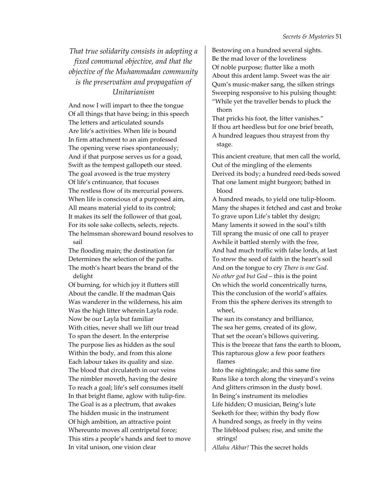### *That true solidarity consists in adopting a fixed communal objective, and that the objective of the Muhammadan community is the preservation and propagation of Unitarianism*

And now I will impart to thee the tongue Of all things that have being; in this speech The letters and articulated sounds Are life's activities. When life is bound In firm attachment to an aim professed The opening verse rises spontaneously; And if that purpose serves us for a goad, Swift as the tempest gallopeth our steed. The goal avowed is the true mystery Of life's cntinuance, that focuses The restless flow of its mercurial powers. When life is conscious of a purposed aim, All means material yield to its control; It makes its self the follower of that goal, For its sole sake collects, selects, rejects. The helmsman shoreward bound resolves to sail

The flooding main; the destination far Determines the selection of the paths. The moth's heart bears the brand of the delight

Of burning, for which joy it flutters still About the candle. If the madman Qais Was wanderer in the wilderness, his aim Was the high litter wherein Layla rode. Now be our Layla but familiar With cities, never shall we lift our tread To span the desert. In the enterprise The purpose lies as hidden as the soul Within the body, and from this alone Each labour takes its quality and size. The blood that circulateth in our veins The nimbler moveth, having the desire To reach a goal; life's self consumes itself In that bright flame, aglow with tulip-fire. The Goal is as a plectrum, that awakes The hidden music in the instrument Of high ambition, an attractive point Whereunto moves all centripetal force; This stirs a people's hands and feet to move In vital unison, one vision clear

Bestowing on a hundred several sights. Be the mad lover of the loveliness Of noble purpose; flutter like a moth About this ardent lamp. Sweet was the air Qum's music-maker sang, the silken strings Sweeping responsive to his pulsing thought: "While yet the traveller bends to pluck the thorn

That pricks his foot, the litter vanishes." If thou art heedless but for one brief breath, A hundred leagues thou strayest from thy stage.

This ancient creature, that men call the world, Out of the mingling of the elements Derived its body; a hundred reed-beds sowed That one lament might burgeon; bathed in blood

A hundred meads, to yield one tulip-bloom. Many the shapes it fetched and cast and broke To grave upon Life's tablet thy design; Many laments it sowed in the soul's tilth Till sprang the music of one call to prayer Awhile it battled sternly with the free, And had much traffic with false lords, at last To strew the seed of faith in the heart's soil And on the tongue to cry *There is one God. No other god but God* – this is the point On which the world concentrically turns, This the conclusion of the world's affairs. From this the sphere derives its strength to wheel,

The sun its constancy and brilliance, The sea her gems, created of its glow, That set the ocean's billows quivering. This is the breeze that fans the earth to bloom, This rapturous glow a few poor feathers flames

Into the nightingale; and this same fire Runs like a torch along the vineyard's veins And glitters crimson in the dusty bowl. In Being's instrument its melodies Life hidden; O musician, Being's lute Seeketh for thee; within thy body flow A hundred songs, as freely in thy veins The lifeblood pulses; rise, and smite the strings!

*Allahu Akbar!* This the secret holds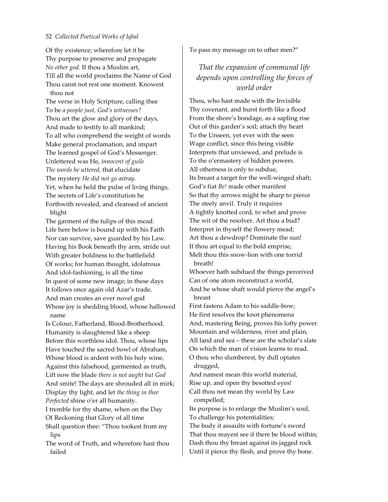Of thy existence; wherefore let it be Thy purpose to preserve and propagate *No other god.* If thou a Muslim art, Till all the world proclaims the Name of God Thou canst not rest one moment. Knowest thou not

The verse in Holy Scripture, calling thee To be *a people just, God's witnesses?* Thou art the glow and glory of the days, And made to testify to all mankind; To all who comprehend the weight of words Make general proclamation, and impart The learned gospel of God's Messenger. Unlettered was He, *innocent of guile The words he uttered,* that elucidate The mystery *He did not go astray.* Yet, when he held the pulse of living things, The secrets of Life's constitution he Forthwith revealed, and cleansed of ancient blight

The garment of the tulips of this mead. Life here below is bound up with his Faith Nor can survive, save guarded by his Law. Having his Book beneath thy arm, stride out With greater boldness to the battlefield Of works; for human thought, idolatrous And idol-fashioning, is all the time In quest of some new image; in these days It follows once again old Azar's trade, And man creates an ever novel god Whose joy is shedding blood, whose hallowed name

Is Colour, Fatherland, Blood-Brotherhood. Humanity is slaughtered like a sheep Before this worthless idol. Thou, whose lips Have touched the sacred bowl of Abraham, Whose blood is ardent with his holy wine, Against this falsehood, garmented as truth, Lift now the blade *there is not aught but God* And smite! The days are shrouded all in mirk; Display thy light, and let *the thing in thee Perfected* shine o'er all humanity. I tremble for thy shame, when on the Day

Of Reckoning that Glory of all time

Shall question thee: "Thou tookest from my lips

The word of Truth, and wherefore hast thou failed

To pass my message on to other men?"

### *That the expansion of communal life depends upon controlling the forces of world order*

Thou, who hast made with the Invisible Thy covenant, and burst forth like a flood From the shore's bondage, as a sapling rise Out of this garden's soil; attach thy heart To the Unseen, yet ever with the seen Wage conflict, since this being visible Interprets that unviewed, and prelude is To the o'ermastery of hidden powers. All otherness is only to subdue, Its breast a target for the well-winged shaft; God's fiat *Be!* made other manifest So that thy arrows might be sharp to pierce The steely anvil. Truly it requires A tightly knotted cord, to whet and prove The wit of the resolver. Art thou a bud? Interpret in thyself the flowery mead; Art thou a dewdrop? Dominate the sun! If thou art equal to the bold emprise, Melt thou this snow-lion with one torrid

breath! Whoever hath subdued the things perceived

Can of one atom reconstruct a world, And he whose shaft would pierce the angel's breast

First fastens Adam to his saddle-bow; He first resolves the knot phenomena And, mastering Being, proves his lofty power. Mountain and wilderness, river and plain, All land and sea – these are the scholar's slate On which the man of vision learns to read. O thou who slumberest, by dull opiates

drugged, And namest mean this world material, Rise up, and open thy besotted eyes! Call thou not mean thy world by Law compelled;

Its purpose is to enlarge the Muslim's soul, To challenge his potentialities; The body it assaults with fortune's sword That thou mayest see if there be blood within; Dash thou thy breast against its jagged rock Until it pierce thy flesh, and prove thy bone.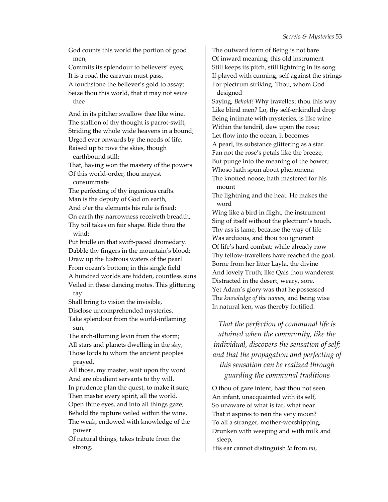God counts this world the portion of good men,

Commits its splendour to believers' eyes; It is a road the caravan must pass, A touchstone the believer's gold to assay; Seize thou this world, that it may not seize

thee

And in its pitcher swallow thee like wine. The stallion of thy thought is parrot-swift, Striding the whole wide heavens in a bound; Urged ever onwards by the needs of life, Raised up to rove the skies, though earthbound still;

That, having won the mastery of the powers Of this world-order, thou mayest

consummate

The perfecting of thy ingenious crafts. Man is the deputy of God on earth, And o'er the elements his rule is fixed; On earth thy narrowness receiveth breadth, Thy toil takes on fair shape. Ride thou the wind;

Put bridle on that swift-paced dromedary. Dabble thy fingers in the mountain's blood; Draw up the lustrous waters of the pearl From ocean's bottom; in this single field A hundred worlds are hidden, countless suns Veiled in these dancing motes. This glittering ray

Shall bring to vision the invisible, Disclose uncomprehended mysteries. Take splendour from the world-inflaming sun,

The arch-illuming levin from the storm; All stars and planets dwelling in the sky, Those lords to whom the ancient peoples prayed,

All those, my master, wait upon thy word And are obedient servants to thy will. In prudence plan the quest, to make it sure, Then master every spirit, all the world. Open thine eyes, and into all things gaze; Behold the rapture veiled within the wine. The weak, endowed with knowledge of the power

Of natural things, takes tribute from the strong.

The outward form of Being is not bare Of inward meaning; this old instrument Still keeps its pitch, still lightning in its song If played with cunning, self against the strings For plectrum striking. Thou, whom God designed

Saying, *Behold!* Why travellest thou this way Like blind men? Lo, thy self-enkindled drop Being intimate with mysteries, is like wine Within the tendril, dew upon the rose; Let flow into the ocean, it becomes A pearl, its substance glittering as a star. Fan not the rose's petals like the breeze, But punge into the meaning of the bower; Whoso hath spun about phenomena The knotted noose, hath mastered for his mount

The lightning and the heat. He makes the word

Wing like a bird in flight, the instrument Sing of itself without the plectrum's touch. Thy ass is lame, because the way of life Was arduous, and thou too ignorant Of life's hard combat; while already now Thy fellow-travellers have reached the goal, Borne from her litter Layla, the divine And lovely Truth; like Qais thou wanderest Distracted in the desert, weary, sore. Yet Adam's glory was that he possessed The *knowledge of the names,* and being wise In natural ken, was thereby fortified.

*That the perfection of communal life is attained when the community, like the individual, discovers the sensation of self; and that the propagation and perfecting of this sensation can be realized through guarding the communal traditions*

O thou of gaze intent, hast thou not seen An infant, unacquainted with its self, So unaware of what is far, what near That it aspires to rein the very moon? To all a stranger, mother-worshipping, Drunken with weeping and with milk and sleep,

His ear cannot distinguish *la* from *mi*,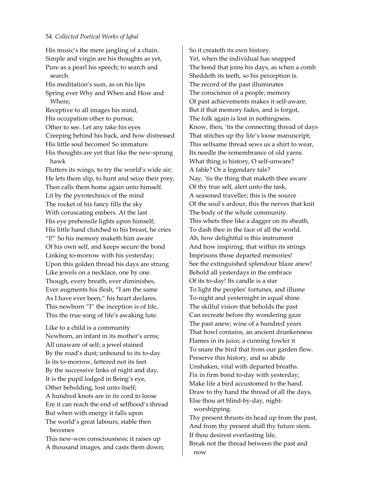His music's the mere jangling of a chain. Simple and virgin are his thoughts as yet, Pure as a pearl his speech; to search and search

His meditation's sum, as on his lips Spring ever Why and When and How and Where;

Receptive to all images his mind, His occupation other to pursue, Other to see. Let any take his eyes Creeping behind his back, and how distressed His little soul becomes! So immature His thoughts are yet that like the new-sprung hawk

Flutters its wings, to try the world's wide air; He lets them slip, to hunt and seize their prey, Then calls them home again unto himself. Lit by the pyrotechnics of the mind The rocket of his fancy fills the sky With coruscating embers. At the last His eye prehensile lights upon himself; His little hand clutched to his breast, he cries "I!" So his memory maketh him aware Of his own self, and keeps secure the bond Linking to-morrow with his yesterday; Upon this golden thread his days are strung Like jewels on a necklace, one by one. Though, every breath, ever diminishes, Ever augments his flesh, "I am the same As I have ever been," his heart declares. This newborn "I" the inception is of life, This the true song of life's awaking lute.

Like to a child is a community Newborn, an infant in its mother's arms; All unaware of self; a jewel stained By the road's dust; unbound to its to-day Is its to-morrow, fettered not its feet By the successive links of night and day. It is the pupil lodged in Being's eye, Other beholding, lost unto itself; A hundred knots are in its cord to loose Ere it can reach the end of selfhood's thread But when with energy it falls upon The world's great labours, stable then becomes

This new-won consciousness; it raises up A thousand images, and casts them down;

So it createth its own history. Yet, when the individual has snapped The bond that joins his days, as when a comb Sheddeth its teeth, so his perception is. The record of the past illuminates The conscience of a people; memory Of past achievements makes it self-aware; But if that memory fades, and is forgot, The folk again is lost in nothingness. Know, then, 'tis the connecting thread of days That stitches up thy life's loose manuscript; This selfsame thread sews us a shirt to wear, Its needle the remembrance of old yarns. What thing is history, O self-unware? A fable? Or a legendary tale? Nay, 'tis the thing that maketh thee aware Of thy true self, alert unto the task, A seasoned traveller; this is the source Of the soul's ardour, this the nerves that knit The body of the whole community. This whets thee like a dagger on its sheath, To dash thee in the face of all the world. Ah, how delightful is this instrument And how inspiring, that within its strings Imprisons those departed memories! See the extinguished splendour blaze anew! Behold all yesterdays in the embrace Of its to-day! Its candle is a star To light the peoples' fortunes, and illume To-night and yesternight in equal shine. The skilful vision that beholds the past Can recreate before thy wondering gaze The past anew; wine of a hundred years That bowl contains, an ancient drunkenness Flames in its juice; a cunning fowler it To snare the bird that from our garden flew. Preserve this history, and so abide Unshaken, vital with departed breaths. Fix in firm bond to-day with yesterday; Make life a bird accustomed to the hand. Draw to thy hand the thread of all the days, Else thou art blind-by-day, nightworshipping.

Thy present thrusts its head up from the past, And from thy present shall thy future stem. If thou desirest everlasting life,

Break not the thread between the past and now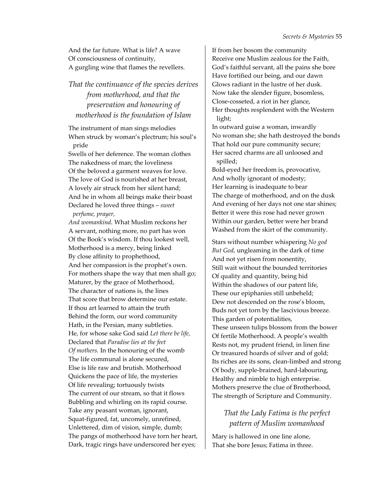And the far future. What is life? A wave Of consciousness of continuity, A gurgling wine that flames the revellers.

### *That the continuance of the species derives from motherhood, and that the preservation and honouring of motherhood is the foundation of Islam*

The instrument of man sings melodies When struck by woman's plectrum; his soul's pride

Swells of her deference. The woman clothes The nakedness of man; the loveliness Of the beloved a garment weaves for love. The love of God is nourished at her breast, A lovely air struck from her silent hand; And he in whom all beings make their boast Declared he loved three things – *sweet perfume, prayer,*

*And womankind.* What Muslim reckons her A servant, nothing more, no part has won Of the Book's wisdom. If thou lookest well, Motherhood is a mercy, being linked By close affinity to prophethood, And her compassion is the prophet's own. For mothers shape the way that men shall go; Maturer, by the grace of Motherhood, The character of nations is, the lines That score that brow determine our estate. If thou art learned to attain the truth Behind the form, our word community Hath, in the Persian, many subtleties. He, for whose sake God said *Let there be life,* Declared that *Paradise lies at the feet Of mothers.* In the honouring of the womb The life communal is alone secured, Else is life raw and brutish. Motherhood Quickens the pace of life, the mysteries Of life revealing; tortuously twists The current of our stream, so that it flows Bubbling and whirling on its rapid course. Take any peasant woman, ignorant, Squat-figured, fat, uncomely, unrefined, Unlettered, dim of vision, simple, dumb; The pangs of motherhood have torn her heart, Dark, tragic rings have underscored her eyes;

If from her bosom the community Receive one Muslim zealous for the Faith, God's faithful servant, all the pains she bore Have fortified our being, and our dawn Glows radiant in the lustre of her dusk. Now take the slender figure, bosomless, Close-cosseted, a riot in her glance, Her thoughts resplendent with the Western light;

In outward guise a woman, inwardly No woman she; she hath destroyed the bonds That hold our pure community secure; Her sacred charms are all unloosed and spilled;

Bold-eyed her freedom is, provocative, And wholly ignorant of modesty; Her learning is inadequate to bear The charge of motherhood, and on the dusk And evening of her days not one star shines; Better it were this rose had never grown Within our garden, better were her brand Washed from the skirt of the community.

Stars without number whispering *No god But God,* ungleaming in the dark of time And not yet risen from nonentity, Still wait without the bounded territories Of quality and quantity, being hid Within the shadows of our patent life, These our epiphanies still unbeheld; Dew not descended on the rose's bloom, Buds not yet torn by the lascivious breeze. This garden of potentialities, These unseen tulips blossom from the bower Of fertile Motherhood. A people's wealth Rests not, my prudent friend, in linen fine Or treasured hoards of silver and of gold; Its riches are its sons, clean-limbed and strong Of body, supple-brained, hard-labouring, Healthy and nimble to high enterprise. Mothers preserve the clue of Brotherhood, The strength of Scripture and Community.

### *That the Lady Fatima is the perfect pattern of Muslim womanhood*

Mary is hallowed in one line alone, That she bore Jesus; Fatima in three.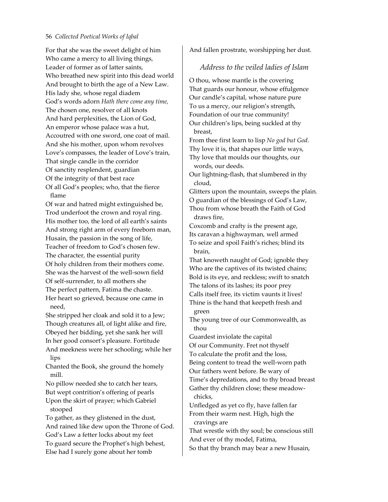For that she was the sweet delight of him Who came a mercy to all living things, Leader of former as of latter saints, Who breathed new spirit into this dead world And brought to birth the age of a New Law. His lady she, whose regal diadem God's words adorn *Hath there come any time,* The chosen one, resolver of all knots And hard perplexities, the Lion of God, An emperor whose palace was a hut, Accoutred with one sword, one coat of mail. And she his mother, upon whom revolves Love's compasses, the leader of Love's train, That single candle in the corridor Of sanctity resplendent, guardian Of the integrity of that best race Of all God's peoples; who, that the fierce flame

Of war and hatred might extinguished be, Trod underfoot the crown and royal ring. His mother too, the lord of all earth's saints And strong right arm of every freeborn man, Husain, the passion in the song of life, Teacher of freedom to God's chosen few. The character, the essential purity Of holy children from their mothers come. She was the harvest of the well-sown field Of self-surrender, to all mothers she The perfect pattern, Fatima the chaste. Her heart so grieved, because one came in need,

She stripped her cloak and sold it to a Jew; Though creatures all, of light alike and fire, Obeyed her bidding, yet she sank her will In her good consort's pleasure. Fortitude And meekness were her schooling; while her lips

Chanted the Book, she ground the homely mill.

No pillow needed she to catch her tears, But wept contrition's offering of pearls Upon the skirt of prayer; which Gabriel

stooped

To gather, as they glistened in the dust, And rained like dew upon the Throne of God. God's Law a fetter locks about my feet To guard secure the Prophet's high behest, Else had I surely gone about her tomb

And fallen prostrate, worshipping her dust.

#### *Address to the veiled ladies of Islam*

O thou, whose mantle is the covering That guards our honour, whose effulgence Our candle's capital, whose nature pure To us a mercy, our religion's strength, Foundation of our true community! Our children's lips, being suckled at thy breast,

From thee first learn to lisp *No god but God.* Thy love it is, that shapes our little ways, Thy love that moulds our thoughts, our words, our deeds.

Our lightning-flash, that slumbered in thy cloud,

Glitters upon the mountain, sweeps the plain. O guardian of the blessings of God's Law, Thou from whose breath the Faith of God draws fire,

Coxcomb and crafty is the present age, Its caravan a highwayman, well armed To seize and spoil Faith's riches; blind its brain,

That knoweth naught of God; ignoble they Who are the captives of its twisted chains; Bold is its eye, and reckless; swift to snatch The talons of its lashes; its poor prey Calls itself free, its victim vaunts it lives! Thine is the hand that keepeth fresh and

green The young tree of our Commonwealth, as

thou

Guardest inviolate the capital

Of our Community. Fret not thyself

To calculate the profit and the loss,

Being content to tread the well-worn path

Our fathers went before. Be wary of

Time's depredations, and to thy broad breast Gather thy children close; these meadow-

chicks,

Unfledged as yet co fly, have fallen far From their warm nest. High, high the cravings are

That wrestle with thy soul; be conscious still And ever of thy model, Fatima,

So that thy branch may bear a new Husain,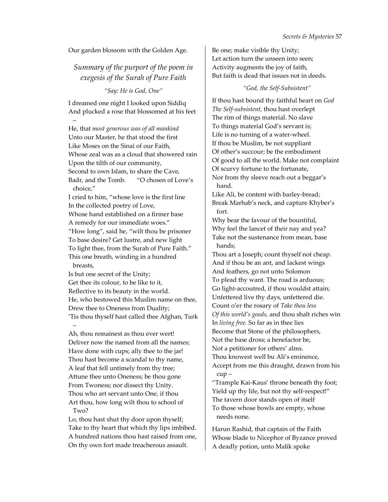Our garden blossom with the Golden Age.

### *Summary of the purport of the poem in exegesis of the Surah of Pure Faith*

*"Say: He is God, One"*

I dreamed one night I looked upon Siddiq And plucked a rose that blossomed at his feet

–

He, that *most generous was of all mankind* Unto our Master, he that stood the first Like Moses on the Sinai of our Faith, Whose zeal was as a cloud that showered rain Upon the tilth of our community, Second to own Islam, to share the Cave, Badr, and the Tomb. "O chosen of Love's choice,"

I cried to him, "whose love is the first line In the collected poetry of Love, Whose hand established on a firmer base A remedy for our immediate woes." "How long", said he, "wilt thou be prisoner To base desire? Get lustre, and new light To light thee, from the Surah of Pure Faith." This one breath, winding in a hundred breasts,

Is but one secret of the Unity; Get thee its colour, to be like to it, Reflective to its beauty in the world. He, who bestowed this Muslim name on thee, Drew thee to Oneness from Duality; 'Tis thou thyself hast called thee Afghan, Turk –

Ah, thou remainest as thou ever wert! Deliver now the named from all the names; Have done with cups; ally thee to the jar! Thou hast become a scandal to thy name, A leaf that fell untimely from thy tree; Attune thee unto Oneness; be thou gone From Twoness; nor dissect thy Unity. Thou who art servant unto One, if thou Art thou, how long wilt thou to school of Two?

Lo, thou hast shut thy door upon thyself; Take to thy heart that which thy lips imbibed. A hundred nations thou hast raised from one, On thy own fort made treacherous assault.

Be one; make visible thy Unity; Let action turn the unseen into seen; Activity augments the joy of faith, But faith is dead that issues not in deeds.

*"God, the Self-Subsistent"*

If thou hast bound thy faithful heart on *God The Self-subsistent,* thou hast overlept The rim of things material. No slave To things material God's servant is; Life is no turning of a water-wheel. If thou be Muslim, be not suppliant Of other's succour; be the embodiment Of good to all the world. Make not complaint Of scurvy fortune to the fortunate, Nor from thy sleeve reach out a beggar's hand.

Like Ali, be content with barley-bread; Break Marhab's neck, and capture Khyber's fort.

Why bear the favour of the bountiful, Why feel the lancet of their nay and yea? Take not the sustenance from mean, base hands;

Thou art a Joseph; count thyself not cheap. And if thou be an ant, and lackest wings And feathers, go not unto Solomon To plead thy want. The road is arduous; Go light-accoutred, if thou wouldst attain; Unfettered live thy days, unfettered die. Count o'er the rosary of *Take thou less Of this world's goods,* and thou shalt riches win In *living free.* So far as in thee lies Become that Stone of the philosophers, Not the base dross; a benefactor be, Not a petitioner for others' alms. Thou knowest well bu Ali's eminence, Accept from me this draught, drawn from his cup –

"Trample Kai-Kaus' throne beneath thy foot; Yield up thy life, but not thy self-respect!" The tavern door stands open of itself To those whose bowls are empty, whose needs none.

Harun Rashid, that captain of the Faith Whose blade to Nicephor of Byzance proved A deadly potion, unto Malik spoke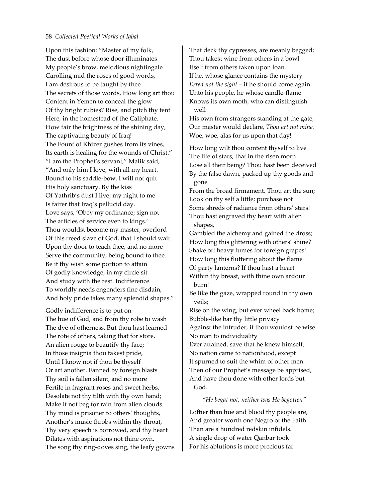Upon this fashion: "Master of my folk, The dust before whose door illuminates My people's brow, melodious nightingale Carolling mid the roses of good words, I am desirous to be taught by thee The secrets of those words. How long art thou Content in Yemen to conceal the glow Of thy bright rubies? Rise, and pitch thy tent Here, in the homestead of the Caliphate. How fair the brightness of the shining day, The captivating beauty of Iraq! The Fount of Khizer gushes from its vines, Its earth is healing for the wounds of Christ." "I am the Prophet's servant," Malik said, "And only him I love, with all my heart. Bound to his saddle-bow, I will not quit His holy sanctuary. By the kiss Of Yathrib's dust I live; my night to me Is fairer that Iraq's pellucid day. Love says, 'Obey my ordinance; sign not The articles of service even to kings.' Thou wouldst become my master, overlord Of this freed slave of God, that I should wait Upon thy door to teach thee, and no more Serve the community, being bound to thee. Be it thy wish some portion to attain Of godly knowledge, in my circle sit And study with the rest. Indifference To worldly needs engenders fine disdain, And holy pride takes many splendid shapes."

Godly indifference is to put on The hue of God, and from thy robe to wash The dye of otherness. But thou hast learned The rote of others, taking that for store, An alien rouge to beautify thy face; In those insignia thou takest pride, Until I know not if thou be thyself Or art another. Fanned by foreign blasts Thy soil is fallen silent, and no more Fertile in fragrant roses and sweet herbs. Desolate not thy tilth with thy own hand; Make it not beg for rain from alien clouds. Thy mind is prisoner to others' thoughts, Another's music throbs within thy throat, Thy very speech is borrowed, and thy heart Dilates with aspirations not thine own. The song thy ring-doves sing, the leafy gowns

That deck thy cypresses, are meanly begged; Thou takest wine from others in a bowl Itself from others taken upon loan. If he, whose glance contains the mystery *Erred not the sight* – if he should come again Unto his people, he whose candle-flame Knows its own moth, who can distinguish well

His own from strangers standing at the gate, Our master would declare, *Thou art not mine.* Woe, woe, alas for us upon that day!

How long wilt thou content thyself to live The life of stars, that in the risen morn Lose all their being? Thou hast been deceived By the false dawn, packed up thy goods and gone

From the broad firmament. Thou art the sun; Look on thy self a little; purchase not Some shreds of radiance from others' stars! Thou hast engraved thy heart with alien shapes,

Gambled the alchemy and gained the dross; How long this glittering with others' shine? Shake off heavy fumes for foreign grapes! How long this fluttering about the flame Of party lanterns? If thou hast a heart Within thy breast, with thine own ardour burn!

Be like the gaze, wrapped round in thy own veils;

Rise on the wing, but ever wheel back home; Bubble-like bar thy little privacy Against the intruder, if thou wouldst be wise. No man to individuality Ever attained, save that he knew himself, No nation came to nationhood, except It spurned to suit the whim of other men. Then of our Prophet's message be apprised, And have thou done with other lords but God.

#### *"He begat not, neither was He begotten"*

Loftier than hue and blood thy people are, And greater worth one Negro of the Faith Than are a hundred redskin infidels. A single drop of water Qanbar took For his ablutions is more precious far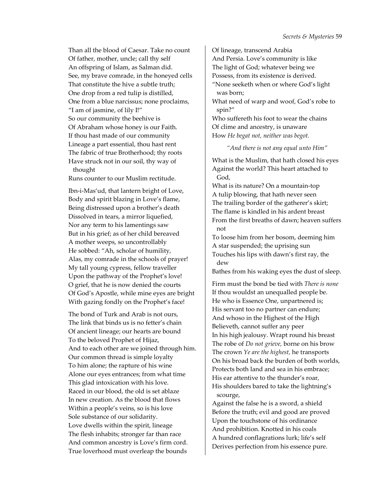Than all the blood of Caesar. Take no count Of father, mother, uncle; call thy self An offspring of Islam, as Salman did. See, my brave comrade, in the honeyed cells That constitute the hive a subtle truth; One drop from a red tulip is distilled, One from a blue narcissus; none proclaims, "I am of jasmine, of lily I!" So our community the beehive is Of Abraham whose honey is our Faith. If thou hast made of our community Lineage a part essential, thou hast rent The fabric of true Brotherhood; thy roots Have struck not in our soil, thy way of thought

Runs counter to our Muslim rectitude.

Ibn-i-Mas'ud, that lantern bright of Love, Body and spirit blazing in Love's flame, Being distressed upon a brother's death Dissolved in tears, a mirror liquefied, Nor any term to his lamentings saw But in his grief; as of her child bereaved A mother weeps, so uncontrollably He sobbed: "Ah, scholar of humility, Alas, my comrade in the schools of prayer! My tall young cypress, fellow traveller Upon the pathway of the Prophet's love! O grief, that he is now denied the courts Of God's Apostle, while mine eyes are bright With gazing fondly on the Prophet's face!

The bond of Turk and Arab is not ours, The link that binds us is no fetter's chain Of ancient lineage; our hearts are bound To the beloved Prophet of Hijaz, And to each other are we joined through him. Our common thread is simple loyalty To him alone; the rapture of his wine Alone our eyes entrances; from what time This glad intoxication with his love. Raced in our blood, the old is set ablaze In new creation. As the blood that flows Within a people's veins, so is his love Sole substance of our solidarity. Love dwells within the spirit, lineage The flesh inhabits; stronger far than race And common ancestry is Love's firm cord. True loverhood must overleap the bounds

Of lineage, transcend Arabia And Persia. Love's community is like The light of God; whatever being we Possess, from its existence is derived. "None seeketh when or where God's light was born; What need of warp and woof, God's robe to spin?"

Who suffereth his foot to wear the chains Of clime and ancestry, is unaware How *He begat not, neither was begot.*

*"And there is not any equal unto Him"*

What is the Muslim, that hath closed his eyes Against the world? This heart attached to God,

What is its nature? On a mountain-top A tulip blowing, that hath never seen The trailing border of the gatherer's skirt; The flame is kindled in his ardent breast From the first breaths of dawn; heaven suffers not

To loose him from her bosom, deeming him A star suspended; the uprising sun Touches his lips with dawn's first ray, the dew

Bathes from his waking eyes the dust of sleep.

Firm must the bond be tied with *There is none* If thou wouldst an unequalled people be. He who is Essence One, unpartnered is; His servant too no partner can endure; And whoso in the Highest of the High Believeth, cannot suffer any peer In his high jealousy. Wrapt round his breast The robe of *Do not grieve,* borne on his brow The crown *Ye are the highest,* he transports On his broad back the burden of both worlds, Protects both land and sea in his embrace; His ear attentive to the thunder's roar, His shoulders bared to take the lightning's scourge,

Against the false he is a sword, a shield Before the truth; evil and good are proved Upon the touchstone of his ordinance And prohibition. Knotted in his coals A hundred conflagrations lurk; life's self Derives perfection from his essence pure.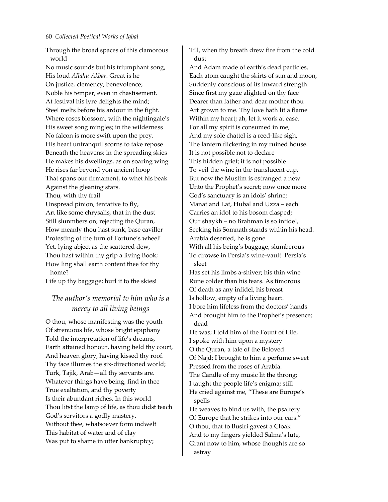Through the broad spaces of this clamorous world

No music sounds but his triumphant song, His loud *Allahu Akbar*. Great is he On justice, clemency, benevolence; Noble his temper, even in chastisement. At festival his lyre delights the mind; Steel melts before his ardour in the fight. Where roses blossom, with the nightingale's His sweet song mingles; in the wilderness No falcon is more swift upon the prey. His heart untranquil scorns to take repose Beneath the heavens; in the spreading skies He makes his dwellings, as on soaring wing He rises far beyond yon ancient hoop That spans our firmament, to whet his beak Against the gleaning stars. Thou, with thy frail Unspread pinion, tentative to fly, Art like some chrysalis, that in the dust Still slunmbers on; rejecting the Quran, How meanly thou hast sunk, base caviller Protesting of the turn of Fortune's wheel!

Yet, lying abject as the scattered dew, Thou hast within thy grip a living Book; How ling shall earth content thee for thy home?

Life up thy baggage; hurl it to the skies!

### *The author's memorial to him who is a mercy to all living beings*

O thou, whose manifesting was the youth Of strenuous life, whose bright epiphany Told the interpretation of life's dreams, Earth attained honour, having held thy court, And heaven glory, having kissed thy roof. Thy face illumes the six-directioned world; Turk, Tajik, Arab—all thy servants are. Whatever things have being, find in thee True exaltation, and thy poverty Is their abundant riches. In this world Thou litst the lamp of life, as thou didst teach God's servitors a godly mastery. Without thee, whatsoever form indwelt This habitat of water and of clay Was put to shame in utter bankruptcy;

Till, when thy breath drew fire from the cold dust

And Adam made of earth's dead particles, Each atom caught the skirts of sun and moon, Suddenly conscious of its inward strength. Since first my gaze alighted on thy face Dearer than father and dear mother thou Art grown to me. Thy love hath lit a flame Within my heart; ah, let it work at ease. For all my spirit is consumed in me, And my sole chattel is a reed-like sigh, The lantern flickering in my ruined house. It is not possible not to declare This hidden grief; it is not possible To veil the wine in the translucent cup. But now the Muslim is estranged a new Unto the Prophet's secret; now once more God's sanctuary is an idols' shrine; Manat and Lat, Hubal and Uzza – each Carries an idol to his bosom clasped; Our shaykh – no Brahman is so infidel, Seeking his Somnath stands within his head. Arabia deserted, he is gone With all his being's baggage, slumberous To drowse in Persia's wine-vault. Persia's sleet

Has set his limbs a-shiver; his thin wine Rune colder than his tears. As timorous Of death as any infidel, his breast Is hollow, empty of a living heart. I bore him lifeless from the doctors' hands And brought him to the Prophet's presence;

dead He was; I told him of the Fount of Life, I spoke with him upon a mystery O the Quran, a tale of the Beloved Of Najd; I brought to him a perfume sweet Pressed from the roses of Arabia. The Candle of my music lit the throng; I taught the people life's enigma; still He cried against me, "These are Europe's spells He weaves to bind us with, the psaltery Of Europe that he strikes into our ears." O thou, that to Busiri gavest a Cloak And to my fingers yielded Salma's lute, Grant now to him, whose thoughts are so

astray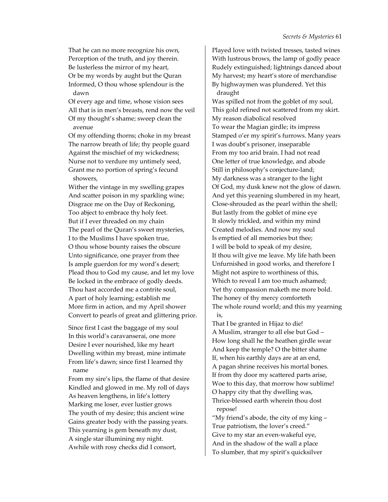That he can no more recognize his own, Perception of the truth, and joy therein. Be lusterless the mirror of my heart, Or be my words by aught but the Quran Informed, O thou whose splendour is the dawn

Of every age and time, whose vision sees All that is in men's breasts, rend now the veil Of my thought's shame; sweep clean the avenue

Of my offending thorns; choke in my breast The narrow breath of life; thy people guard Against the mischief of my wickedness; Nurse not to verdure my untimely seed, Grant me no portion of spring's fecund showers,

Wither the vintage in my swelling grapes And scatter poison in my sparkling wine; Disgrace me on the Day of Reckoning, Too abject to embrace thy holy feet. But if I ever threaded on my chain The pearl of the Quran's sweet mysteries, I to the Muslims I have spoken true, O thou whose bounty raises the obscure Unto significance, one prayer from thee Is ample guerdon for my word's desert; Plead thou to God my cause, and let my love Be locked in the embrace of godly deeds. Thou hast accorded me a contrite soul, A part of holy learning; establish me More firm in action, and my April shower Convert to pearls of great and glittering price.

Since first I cast the baggage of my soul In this world's caravanserai, one more Desire I ever nourished, like my heart Dwelling within my breast, mine intimate From life's dawn; since first I learned thy name

From my sire's lips, the flame of that desire Kindled and glowed in me. My roll of days As heaven lengthens, in life's lottery Marking me loser, ever lustier grows The youth of my desire; this ancient wine Gains greater body with the passing years. This yearning is gem beneath my dust, A single star illumining my night. Awhile with rosy checks did I consort,

Played love with twisted tresses, tasted wines With lustrous brows, the lamp of godly peace Rudely extinguished; lightnings danced about My harvest; my heart's store of merchandise By highwaymen was plundered. Yet this draught

Was spilled not from the goblet of my soul, This gold refined not scattered from my skirt. My reason diabolical resolved To wear the Magian girdle; its impress Stamped o'er my spirit's furrows. Many years I was doubt's prisoner, inseparable From my too arid brain. I had not read One letter of true knowledge, and abode Still in philosophy's conjecture-land; My darkness was a stranger to the light Of God, my dusk knew not the glow of dawn. And yet this yearning slumbered in my heart, Close-shrouded as the pearl within the shell; But lastly from the goblet of mine eye It slowly trickled, and within my mind Created melodies. And now my soul Is emptied of all memories but thee; I will be bold to speak of my desire, If thou wilt give me leave. My life hath been Unfurnished in good works, and therefore I Might not aspire to worthiness of this, Which to reveal I am too much ashamed; Yet thy compassion maketh me more bold. The honey of thy mercy comforteth The whole round world; and this my yearning is,

That I be granted in Hijaz to die! A Muslim, stranger to all else but God – How long shall he the heathen girdle wear And keep the temple? O the bitter shame If, when his earthly days are at an end, A pagan shrine receives his mortal bones. If from thy door my scattered parts arise, Woe to this day, that morrow how sublime! O happy city that thy dwelling was, Thrice-blessed earth wherein thou dost repose!

"My friend's abode, the city of my king – True patriotism, the lover's creed." Give to my star an even-wakeful eye, And in the shadow of the wall a place To slumber, that my spirit's quicksilver